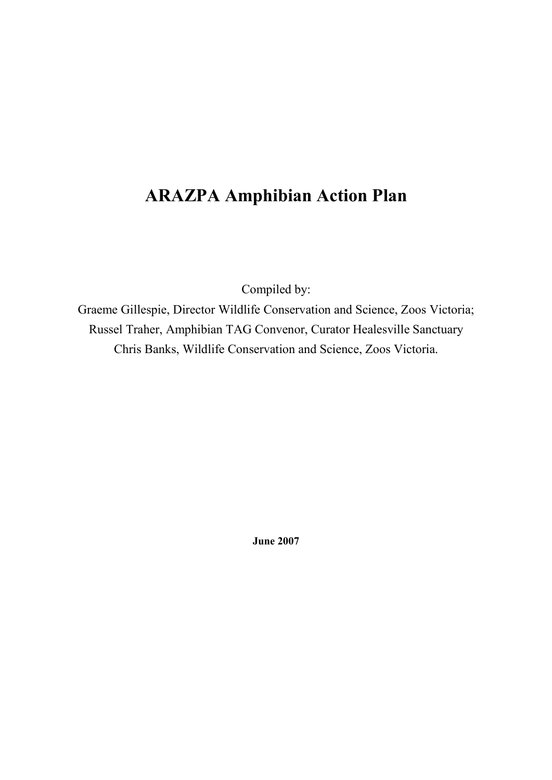# **ARAZPA Amphibian Action Plan**

Compiled by:

Graeme Gillespie, Director Wildlife Conservation and Science, Zoos Victoria; Russel Traher, Amphibian TAG Convenor, Curator Healesville Sanctuary Chris Banks, Wildlife Conservation and Science, Zoos Victoria.

**June 2007**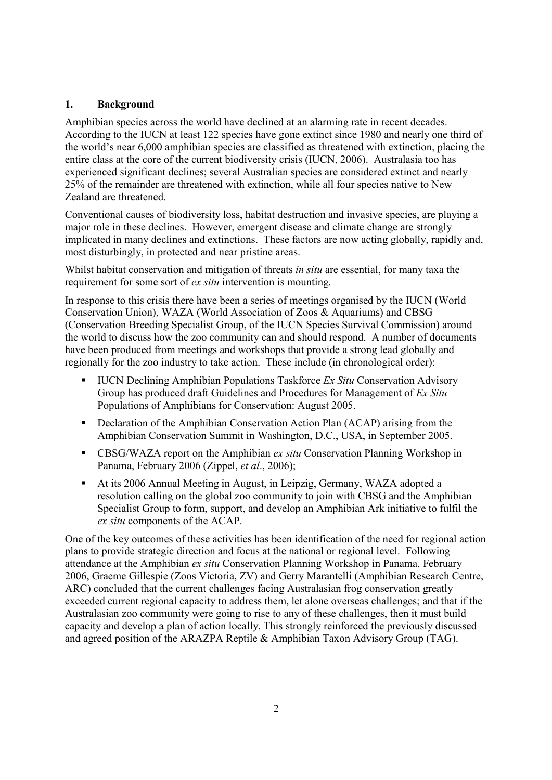# **1. Background**

Amphibian species across the world have declined at an alarming rate in recent decades. According to the IUCN at least 122 species have gone extinct since 1980 and nearly one third of the world's near 6,000 amphibian species are classified as threatened with extinction, placing the entire class at the core of the current biodiversity crisis (IUCN, 2006). Australasia too has experienced significant declines; several Australian species are considered extinct and nearly 25% of the remainder are threatened with extinction, while all four species native to New Zealand are threatened.

Conventional causes of biodiversity loss, habitat destruction and invasive species, are playing a major role in these declines. However, emergent disease and climate change are strongly implicated in many declines and extinctions. These factors are now acting globally, rapidly and, most disturbingly, in protected and near pristine areas.

Whilst habitat conservation and mitigation of threats *in situ* are essential, for many taxa the requirement for some sort of *ex situ* intervention is mounting.

In response to this crisis there have been a series of meetings organised by the IUCN (World Conservation Union), WAZA (World Association of Zoos & Aquariums) and CBSG (Conservation Breeding Specialist Group, of the IUCN Species Survival Commission) around the world to discuss how the zoo community can and should respond. A number of documents have been produced from meetings and workshops that provide a strong lead globally and regionally for the zoo industry to take action. These include (in chronological order):

- IUCN Declining Amphibian Populations Taskforce *Ex Situ* Conservation Advisory Group has produced draft Guidelines and Procedures for Management of *Ex Situ* Populations of Amphibians for Conservation: August 2005.
- Declaration of the Amphibian Conservation Action Plan (ACAP) arising from the Amphibian Conservation Summit in Washington, D.C., USA, in September 2005.
- CBSG/WAZA report on the Amphibian *ex situ* Conservation Planning Workshop in Panama, February 2006 (Zippel, *et al*., 2006);
- At its 2006 Annual Meeting in August, in Leipzig, Germany, WAZA adopted a resolution calling on the global zoo community to join with CBSG and the Amphibian Specialist Group to form, support, and develop an Amphibian Ark initiative to fulfil the *ex situ* components of the ACAP.

One of the key outcomes of these activities has been identification of the need for regional action plans to provide strategic direction and focus at the national or regional level. Following attendance at the Amphibian *ex situ* Conservation Planning Workshop in Panama, February 2006, Graeme Gillespie (Zoos Victoria, ZV) and Gerry Marantelli (Amphibian Research Centre, ARC) concluded that the current challenges facing Australasian frog conservation greatly exceeded current regional capacity to address them, let alone overseas challenges; and that if the Australasian zoo community were going to rise to any of these challenges, then it must build capacity and develop a plan of action locally. This strongly reinforced the previously discussed and agreed position of the ARAZPA Reptile & Amphibian Taxon Advisory Group (TAG).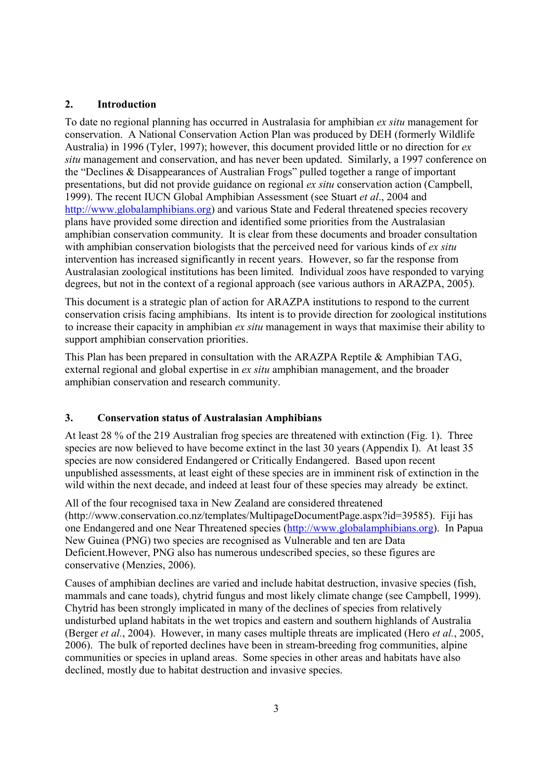# **2. Introduction**

To date no regional planning has occurred in Australasia for amphibian *ex situ* management for conservation. A National Conservation Action Plan was produced by DEH (formerly Wildlife Australia) in 1996 (Tyler, 1997); however, this document provided little or no direction for *ex situ* management and conservation, and has never been updated. Similarly, a 1997 conference on the "Declines & Disappearances of Australian Frogs" pulled together a range of important presentations, but did not provide guidance on regional *ex situ* conservation action (Campbell, 1999). The recent IUCN Global Amphibian Assessment (see Stuart *et al*., 2004 and http://www.globalamphibians.org) and various State and Federal threatened species recovery plans have provided some direction and identified some priorities from the Australasian amphibian conservation community. It is clear from these documents and broader consultation with amphibian conservation biologists that the perceived need for various kinds of *ex situ* intervention has increased significantly in recent years. However, so far the response from Australasian zoological institutions has been limited. Individual zoos have responded to varying degrees, but not in the context of a regional approach (see various authors in ARAZPA, 2005).

This document is a strategic plan of action for ARAZPA institutions to respond to the current conservation crisis facing amphibians. Its intent is to provide direction for zoological institutions to increase their capacity in amphibian *ex situ* management in ways that maximise their ability to support amphibian conservation priorities.

This Plan has been prepared in consultation with the ARAZPA Reptile & Amphibian TAG, external regional and global expertise in *ex situ* amphibian management, and the broader amphibian conservation and research community.

#### **3. Conservation status of Australasian Amphibians**

At least 28 % of the 219 Australian frog species are threatened with extinction (Fig. 1). Three species are now believed to have become extinct in the last 30 years (Appendix I). At least 35 species are now considered Endangered or Critically Endangered. Based upon recent unpublished assessments, at least eight of these species are in imminent risk of extinction in the wild within the next decade, and indeed at least four of these species may already be extinct.

All of the four recognised taxa in New Zealand are considered threatened (http://www.conservation.co.nz/templates/MultipageDocumentPage.aspx?id=39585). Fiji has one Endangered and one Near Threatened species (http://www.globalamphibians.org). In Papua New Guinea (PNG) two species are recognised as Vulnerable and ten are Data Deficient.However, PNG also has numerous undescribed species, so these figures are conservative (Menzies, 2006).

Causes of amphibian declines are varied and include habitat destruction, invasive species (fish, mammals and cane toads), chytrid fungus and most likely climate change (see Campbell, 1999). Chytrid has been strongly implicated in many of the declines of species from relatively undisturbed upland habitats in the wet tropics and eastern and southern highlands of Australia (Berger *et al.*, 2004). However, in many cases multiple threats are implicated (Hero *et al.*, 2005, 2006). The bulk of reported declines have been in stream-breeding frog communities, alpine communities or species in upland areas. Some species in other areas and habitats have also declined, mostly due to habitat destruction and invasive species.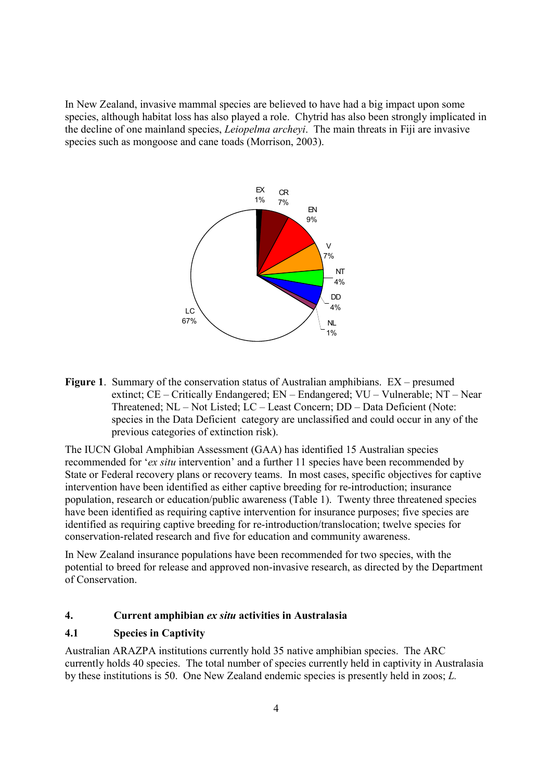In New Zealand, invasive mammal species are believed to have had a big impact upon some species, although habitat loss has also played a role. Chytrid has also been strongly implicated in the decline of one mainland species, *Leiopelma archeyi*. The main threats in Fiji are invasive species such as mongoose and cane toads (Morrison, 2003).



**Figure 1**. Summary of the conservation status of Australian amphibians. EX – presumed extinct; CE – Critically Endangered; EN – Endangered; VU – Vulnerable; NT – Near Threatened; NL – Not Listed; LC – Least Concern; DD – Data Deficient (Note: species in the Data Deficient category are unclassified and could occur in any of the previous categories of extinction risk).

The IUCN Global Amphibian Assessment (GAA) has identified 15 Australian species recommended for '*ex situ* intervention' and a further 11 species have been recommended by State or Federal recovery plans or recovery teams. In most cases, specific objectives for captive intervention have been identified as either captive breeding for re-introduction; insurance population, research or education/public awareness (Table 1). Twenty three threatened species have been identified as requiring captive intervention for insurance purposes; five species are identified as requiring captive breeding for re-introduction/translocation; twelve species for conservation-related research and five for education and community awareness.

In New Zealand insurance populations have been recommended for two species, with the potential to breed for release and approved non-invasive research, as directed by the Department of Conservation.

# **4. Current amphibian** *ex situ* **activities in Australasia**

# **4.1 Species in Captivity**

Australian ARAZPA institutions currently hold 35 native amphibian species. The ARC currently holds 40 species. The total number of species currently held in captivity in Australasia by these institutions is 50. One New Zealand endemic species is presently held in zoos; *L.*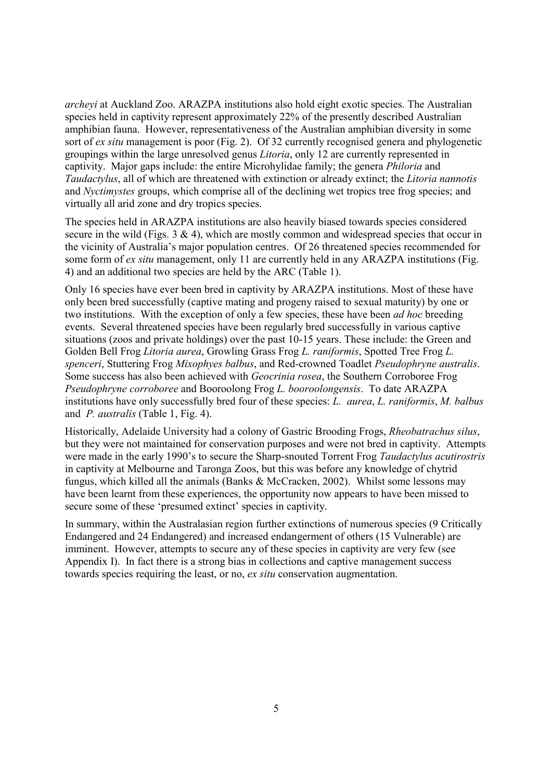*archeyi* at Auckland Zoo. ARAZPA institutions also hold eight exotic species. The Australian species held in captivity represent approximately 22% of the presently described Australian amphibian fauna. However, representativeness of the Australian amphibian diversity in some sort of *ex situ* management is poor (Fig. 2). Of 32 currently recognised genera and phylogenetic groupings within the large unresolved genus *Litoria*, only 12 are currently represented in captivity. Major gaps include: the entire Microhylidae family; the genera *Philoria* and *Taudactylus*, all of which are threatened with extinction or already extinct; the *Litoria nannotis*  and *Nyctimystes* groups, which comprise all of the declining wet tropics tree frog species; and virtually all arid zone and dry tropics species.

The species held in ARAZPA institutions are also heavily biased towards species considered secure in the wild (Figs.  $3 \& 4$ ), which are mostly common and widespread species that occur in the vicinity of Australia's major population centres. Of 26 threatened species recommended for some form of *ex situ* management, only 11 are currently held in any ARAZPA institutions (Fig. 4) and an additional two species are held by the ARC (Table 1).

Only 16 species have ever been bred in captivity by ARAZPA institutions. Most of these have only been bred successfully (captive mating and progeny raised to sexual maturity) by one or two institutions. With the exception of only a few species, these have been *ad hoc* breeding events. Several threatened species have been regularly bred successfully in various captive situations (zoos and private holdings) over the past 10-15 years. These include: the Green and Golden Bell Frog *Litoria aurea*, Growling Grass Frog *L. raniformis*, Spotted Tree Frog *L. spenceri*, Stuttering Frog *Mixophyes balbus*, and Red-crowned Toadlet *Pseudophryne australis*. Some success has also been achieved with *Geocrinia rosea*, the Southern Corroboree Frog *Pseudophryne corroboree* and Booroolong Frog *L. booroolongensis*. To date ARAZPA institutions have only successfully bred four of these species: *L. aurea*, *L. raniformis*, *M. balbus* and *P. australis* (Table 1, Fig. 4).

Historically, Adelaide University had a colony of Gastric Brooding Frogs, *Rheobatrachus silus*, but they were not maintained for conservation purposes and were not bred in captivity. Attempts were made in the early 1990's to secure the Sharp-snouted Torrent Frog *Taudactylus acutirostris* in captivity at Melbourne and Taronga Zoos, but this was before any knowledge of chytrid fungus, which killed all the animals (Banks & McCracken, 2002). Whilst some lessons may have been learnt from these experiences, the opportunity now appears to have been missed to secure some of these 'presumed extinct' species in captivity.

In summary, within the Australasian region further extinctions of numerous species (9 Critically Endangered and 24 Endangered) and increased endangerment of others (15 Vulnerable) are imminent. However, attempts to secure any of these species in captivity are very few (see Appendix I). In fact there is a strong bias in collections and captive management success towards species requiring the least, or no, *ex situ* conservation augmentation.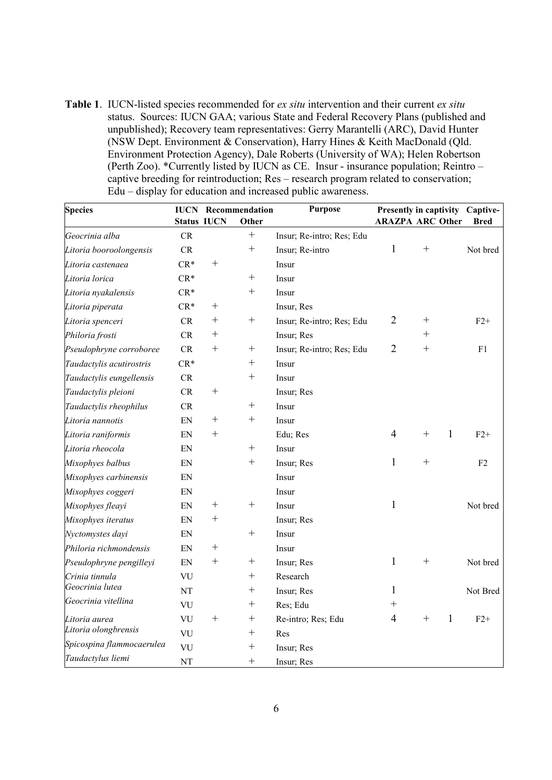**Table 1**. IUCN-listed species recommended for *ex situ* intervention and their current *ex situ* status. Sources: IUCN GAA; various State and Federal Recovery Plans (published and unpublished); Recovery team representatives: Gerry Marantelli (ARC), David Hunter (NSW Dept. Environment & Conservation), Harry Hines & Keith MacDonald (Qld. Environment Protection Agency), Dale Roberts (University of WA); Helen Robertson (Perth Zoo). \*Currently listed by IUCN as CE. Insur - insurance population; Reintro – captive breeding for reintroduction; Res – research program related to conservation; Edu – display for education and increased public awareness.

| <b>Species</b>            | <b>Purpose</b><br>Recommendation<br><b>IUCN</b> |        |                    | Presently in captivity Captive- |                    |                         |                |
|---------------------------|-------------------------------------------------|--------|--------------------|---------------------------------|--------------------|-------------------------|----------------|
|                           | <b>Status IUCN</b>                              |        | Other              |                                 |                    | <b>ARAZPA ARC Other</b> | Bred           |
| Geocrinia alba            | CR                                              |        | $^{+}$             | Insur; Re-intro; Res; Edu       |                    |                         |                |
| Litoria booroolongensis   | CR                                              |        | $^{+}$             | Insur; Re-intro                 | 1                  | $^{+}$                  | Not bred       |
| Litoria castenaea         | $CR*$                                           | $^{+}$ |                    | Insur                           |                    |                         |                |
| Litoria lorica            | $CR*$                                           |        | $^{+}$             | Insur                           |                    |                         |                |
| Litoria nyakalensis       | $CR*$                                           |        | $^{+}$             | Insur                           |                    |                         |                |
| Litoria piperata          | $CR*$                                           | $^{+}$ |                    | Insur, Res                      |                    |                         |                |
| Litoria spenceri          | CR                                              | $^{+}$ | $^{+}$             | Insur; Re-intro; Res; Edu       | $\overline{2}$     | $^{+}$                  | $F2+$          |
| Philoria frosti           | CR                                              | $^{+}$ |                    | Insur; Res                      |                    | $^{+}$                  |                |
| Pseudophryne corroboree   | CR                                              | $^{+}$ | $^{+}$             | Insur; Re-intro; Res; Edu       | $\overline{2}$     | $^{+}$                  | F1             |
| Taudactylis acutirostris  | $CR*$                                           |        | $^{+}$             | Insur                           |                    |                         |                |
| Taudactylis eungellensis  | CR                                              |        | $^{+}$             | Insur                           |                    |                         |                |
| Taudactylis pleioni       | CR                                              | $^{+}$ |                    | Insur; Res                      |                    |                         |                |
| Taudactylis rheophilus    | <b>CR</b>                                       |        | $^{+}$             | Insur                           |                    |                         |                |
| Litoria nannotis          | EN                                              | $^{+}$ | $^{+}$             | Insur                           |                    |                         |                |
| Litoria raniformis        | EN                                              | $^{+}$ |                    | Edu; Res                        | 4                  | $\mathbf{1}$<br>$^{+}$  | $F2+$          |
| Litoria rheocola          | EN                                              |        | $^{+}$             | Insur                           |                    |                         |                |
| Mixophyes balbus          | EN                                              |        | $^{+}$             | Insur; Res                      | 1                  | $^{+}$                  | F <sub>2</sub> |
| Mixophyes carbinensis     | EN                                              |        |                    | Insur                           |                    |                         |                |
| Mixophyes coggeri         | EN                                              |        |                    | Insur                           |                    |                         |                |
| Mixophyes fleayi          | EN                                              | $^{+}$ | $^{+}$             | Insur                           | 1                  |                         | Not bred       |
| Mixophyes iteratus        | EN                                              | $^{+}$ |                    | Insur; Res                      |                    |                         |                |
| Nyctomystes dayi          | EN                                              |        | $^{+}$             | Insur                           |                    |                         |                |
| Philoria richmondensis    | EN                                              | $^{+}$ |                    | Insur                           |                    |                         |                |
| Pseudophryne pengilleyi   | EN                                              | $^{+}$ | $^{+}$             | Insur; Res                      | 1                  | $^{+}$                  | Not bred       |
| Crinia tinnula            | <b>VU</b>                                       |        | $^{+}$             | Research                        |                    |                         |                |
| Geocrinia lutea           | NT                                              |        | $^{+}$             | Insur; Res                      | 1                  |                         | Not Bred       |
| Geocrinia vitellina       | VU                                              |        | $^{+}$             | Res; Edu                        | $\hspace{0.1mm} +$ |                         |                |
| Litoria aurea             | VU                                              | $^{+}$ | $\hspace{0.1mm} +$ | Re-intro; Res; Edu              | $\overline{4}$     | 1<br>$^+$               | $F2+$          |
| Litoria olongbrensis      | VU                                              |        | $^{+}$             | Res                             |                    |                         |                |
| Spicospina flammocaerulea | VU                                              |        | $^{+}$             | Insur; Res                      |                    |                         |                |
| Taudactylus liemi         | NT                                              |        | $^{+}$             | Insur; Res                      |                    |                         |                |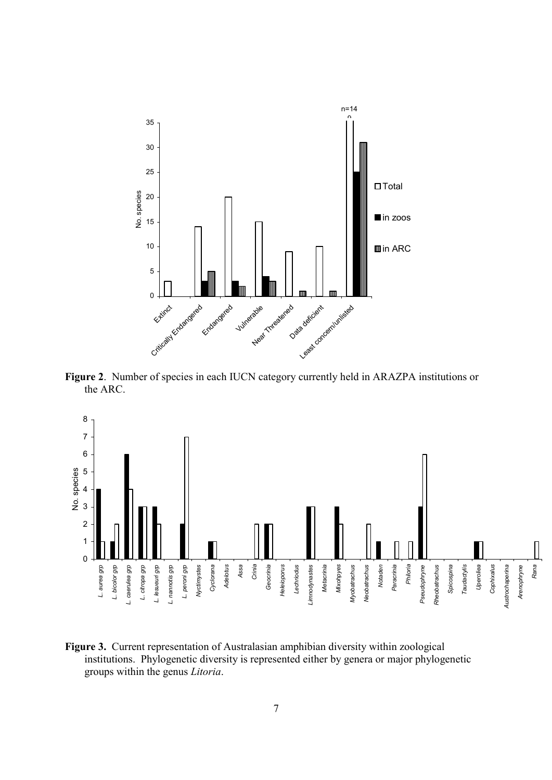

**Figure 2**. Number of species in each IUCN category currently held in ARAZPA institutions or the ARC.



**Figure 3.** Current representation of Australasian amphibian diversity within zoological institutions. Phylogenetic diversity is represented either by genera or major phylogenetic groups within the genus *Litoria*.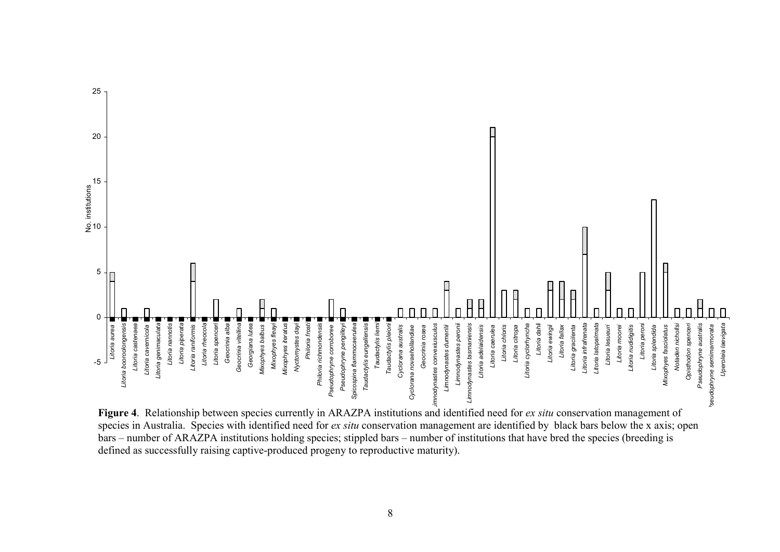

**Figure 4**. Relationship between species currently in ARAZPA institutions and identified need for *ex situ* conservation management of species in Australia. Species with identified need for *ex situ* conservation management are identified by black bars below the x axis; open bars – number of ARAZPA institutions holding species; stippled bars – number of institutions that have bred the species (breeding is defined as successfully raising captive-produced progeny to reproductive maturity).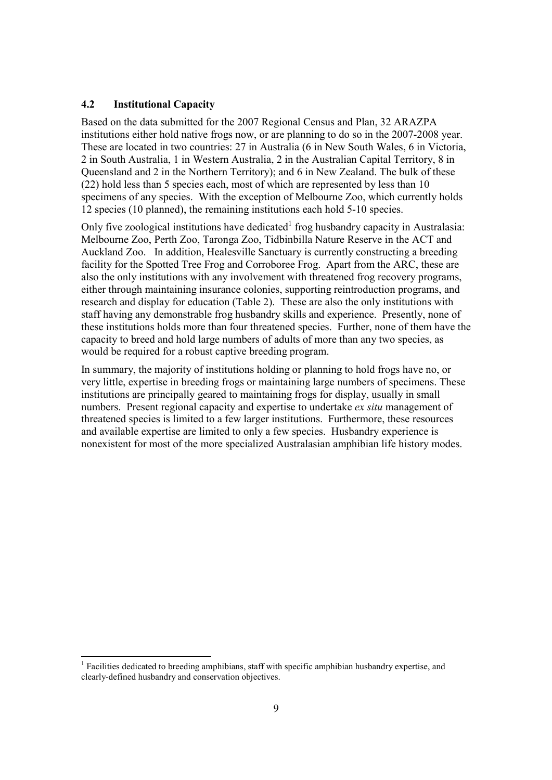#### **4.2 Institutional Capacity**

Based on the data submitted for the 2007 Regional Census and Plan, 32 ARAZPA institutions either hold native frogs now, or are planning to do so in the 2007-2008 year. These are located in two countries: 27 in Australia (6 in New South Wales, 6 in Victoria, 2 in South Australia, 1 in Western Australia, 2 in the Australian Capital Territory, 8 in Queensland and 2 in the Northern Territory); and 6 in New Zealand. The bulk of these (22) hold less than 5 species each, most of which are represented by less than 10 specimens of any species. With the exception of Melbourne Zoo, which currently holds 12 species (10 planned), the remaining institutions each hold 5-10 species.

Only five zoological institutions have dedicated<sup>1</sup> frog husbandry capacity in Australasia: Melbourne Zoo, Perth Zoo, Taronga Zoo, Tidbinbilla Nature Reserve in the ACT and Auckland Zoo. In addition, Healesville Sanctuary is currently constructing a breeding facility for the Spotted Tree Frog and Corroboree Frog. Apart from the ARC, these are also the only institutions with any involvement with threatened frog recovery programs, either through maintaining insurance colonies, supporting reintroduction programs, and research and display for education (Table 2). These are also the only institutions with staff having any demonstrable frog husbandry skills and experience. Presently, none of these institutions holds more than four threatened species. Further, none of them have the capacity to breed and hold large numbers of adults of more than any two species, as would be required for a robust captive breeding program.

In summary, the majority of institutions holding or planning to hold frogs have no, or very little, expertise in breeding frogs or maintaining large numbers of specimens. These institutions are principally geared to maintaining frogs for display, usually in small numbers. Present regional capacity and expertise to undertake *ex situ* management of threatened species is limited to a few larger institutions. Furthermore, these resources and available expertise are limited to only a few species. Husbandry experience is nonexistent for most of the more specialized Australasian amphibian life history modes.

<sup>-</sup><sup>1</sup> Facilities dedicated to breeding amphibians, staff with specific amphibian husbandry expertise, and clearly-defined husbandry and conservation objectives.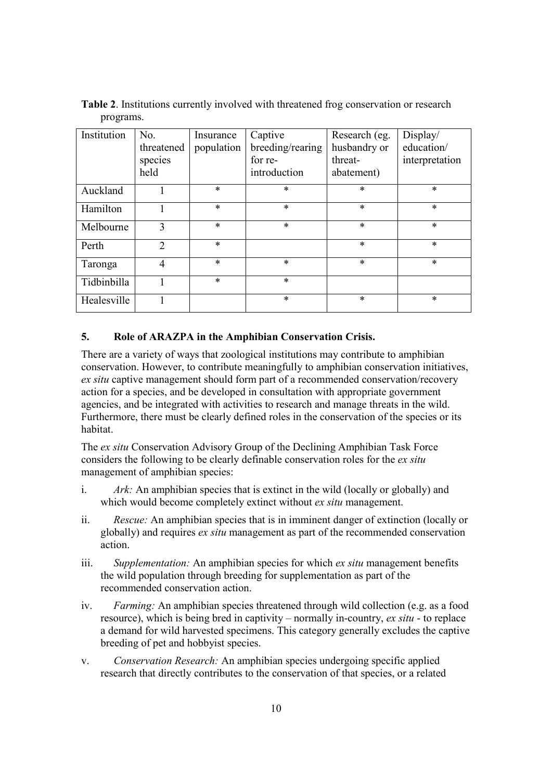| Institution | No.            | Insurance  | Captive          | Research (eg. | Display/       |
|-------------|----------------|------------|------------------|---------------|----------------|
|             | threatened     | population | breeding/rearing | husbandry or  | education/     |
|             | species        |            | for re-          | threat-       | interpretation |
|             | held           |            | introduction     | abatement)    |                |
| Auckland    |                | $\ast$     | $\ast$           | $\ast$        | $\ast$         |
| Hamilton    |                | $\ast$     | $\ast$           | $\ast$        | $\ast$         |
| Melbourne   | 3              | $\ast$     | $\ast$           | $\ast$        | $\ast$         |
| Perth       | $\overline{2}$ | $\ast$     |                  | $\ast$        | $\ast$         |
| Taronga     | $\overline{4}$ | $\ast$     | $\ast$           | $\ast$        | $\ast$         |
| Tidbinbilla |                | $\ast$     | $\ast$           |               |                |
| Healesville |                |            | $\ast$           | $\ast$        | $\ast$         |

**Table 2**. Institutions currently involved with threatened frog conservation or research programs.

#### **5. Role of ARAZPA in the Amphibian Conservation Crisis.**

There are a variety of ways that zoological institutions may contribute to amphibian conservation. However, to contribute meaningfully to amphibian conservation initiatives, *ex situ* captive management should form part of a recommended conservation/recovery action for a species, and be developed in consultation with appropriate government agencies, and be integrated with activities to research and manage threats in the wild. Furthermore, there must be clearly defined roles in the conservation of the species or its habitat.

The *ex situ* Conservation Advisory Group of the Declining Amphibian Task Force considers the following to be clearly definable conservation roles for the *ex situ*  management of amphibian species:

- i. *Ark:* An amphibian species that is extinct in the wild (locally or globally) and which would become completely extinct without *ex situ* management.
- ii. *Rescue:* An amphibian species that is in imminent danger of extinction (locally or globally) and requires *ex situ* management as part of the recommended conservation action.
- iii. *Supplementation:* An amphibian species for which *ex situ* management benefits the wild population through breeding for supplementation as part of the recommended conservation action.
- iv. *Farming:* An amphibian species threatened through wild collection (e.g. as a food resource), which is being bred in captivity – normally in-country, *ex situ* - to replace a demand for wild harvested specimens. This category generally excludes the captive breeding of pet and hobbyist species.
- v. *Conservation Research:* An amphibian species undergoing specific applied research that directly contributes to the conservation of that species, or a related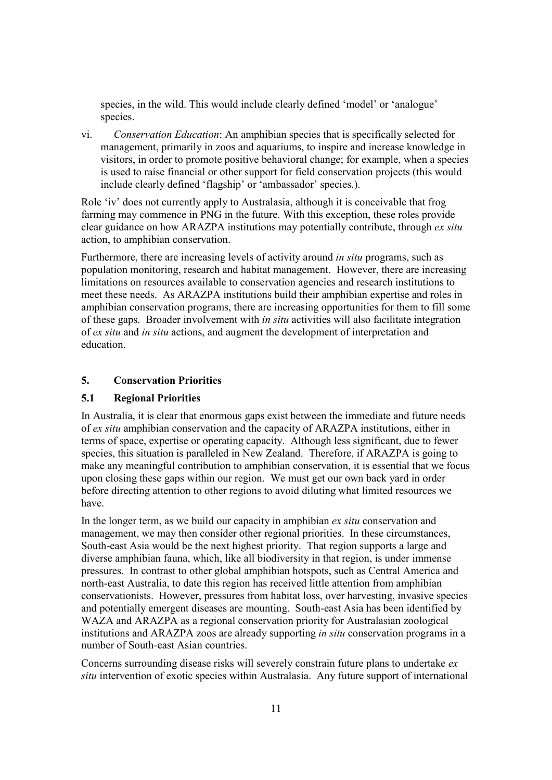species, in the wild. This would include clearly defined 'model' or 'analogue' species.

vi. *Conservation Education*: An amphibian species that is specifically selected for management, primarily in zoos and aquariums, to inspire and increase knowledge in visitors, in order to promote positive behavioral change; for example, when a species is used to raise financial or other support for field conservation projects (this would include clearly defined 'flagship' or 'ambassador' species.).

Role 'iv' does not currently apply to Australasia, although it is conceivable that frog farming may commence in PNG in the future. With this exception, these roles provide clear guidance on how ARAZPA institutions may potentially contribute, through *ex situ* action, to amphibian conservation.

Furthermore, there are increasing levels of activity around *in situ* programs, such as population monitoring, research and habitat management. However, there are increasing limitations on resources available to conservation agencies and research institutions to meet these needs. As ARAZPA institutions build their amphibian expertise and roles in amphibian conservation programs, there are increasing opportunities for them to fill some of these gaps. Broader involvement with *in situ* activities will also facilitate integration of *ex situ* and *in situ* actions, and augment the development of interpretation and education.

#### **5. Conservation Priorities**

#### **5.1 Regional Priorities**

In Australia, it is clear that enormous gaps exist between the immediate and future needs of *ex situ* amphibian conservation and the capacity of ARAZPA institutions, either in terms of space, expertise or operating capacity. Although less significant, due to fewer species, this situation is paralleled in New Zealand. Therefore, if ARAZPA is going to make any meaningful contribution to amphibian conservation, it is essential that we focus upon closing these gaps within our region. We must get our own back yard in order before directing attention to other regions to avoid diluting what limited resources we have.

In the longer term, as we build our capacity in amphibian *ex situ* conservation and management, we may then consider other regional priorities. In these circumstances, South-east Asia would be the next highest priority. That region supports a large and diverse amphibian fauna, which, like all biodiversity in that region, is under immense pressures. In contrast to other global amphibian hotspots, such as Central America and north-east Australia, to date this region has received little attention from amphibian conservationists. However, pressures from habitat loss, over harvesting, invasive species and potentially emergent diseases are mounting. South-east Asia has been identified by WAZA and ARAZPA as a regional conservation priority for Australasian zoological institutions and ARAZPA zoos are already supporting *in situ* conservation programs in a number of South-east Asian countries.

Concerns surrounding disease risks will severely constrain future plans to undertake *ex situ* intervention of exotic species within Australasia. Any future support of international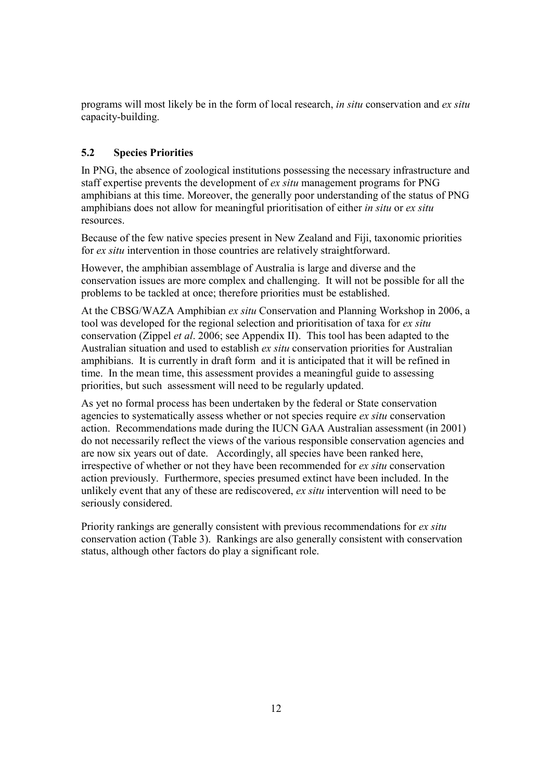programs will most likely be in the form of local research, *in situ* conservation and *ex situ* capacity-building.

# **5.2 Species Priorities**

In PNG, the absence of zoological institutions possessing the necessary infrastructure and staff expertise prevents the development of *ex situ* management programs for PNG amphibians at this time. Moreover, the generally poor understanding of the status of PNG amphibians does not allow for meaningful prioritisation of either *in situ* or *ex situ* resources.

Because of the few native species present in New Zealand and Fiji, taxonomic priorities for *ex situ* intervention in those countries are relatively straightforward.

However, the amphibian assemblage of Australia is large and diverse and the conservation issues are more complex and challenging. It will not be possible for all the problems to be tackled at once; therefore priorities must be established.

At the CBSG/WAZA Amphibian *ex situ* Conservation and Planning Workshop in 2006, a tool was developed for the regional selection and prioritisation of taxa for *ex situ* conservation (Zippel *et al*. 2006; see Appendix II). This tool has been adapted to the Australian situation and used to establish *ex situ* conservation priorities for Australian amphibians. It is currently in draft form and it is anticipated that it will be refined in time. In the mean time, this assessment provides a meaningful guide to assessing priorities, but such assessment will need to be regularly updated.

As yet no formal process has been undertaken by the federal or State conservation agencies to systematically assess whether or not species require *ex situ* conservation action. Recommendations made during the IUCN GAA Australian assessment (in 2001) do not necessarily reflect the views of the various responsible conservation agencies and are now six years out of date. Accordingly, all species have been ranked here, irrespective of whether or not they have been recommended for *ex situ* conservation action previously. Furthermore, species presumed extinct have been included. In the unlikely event that any of these are rediscovered, *ex situ* intervention will need to be seriously considered.

Priority rankings are generally consistent with previous recommendations for *ex situ* conservation action (Table 3). Rankings are also generally consistent with conservation status, although other factors do play a significant role.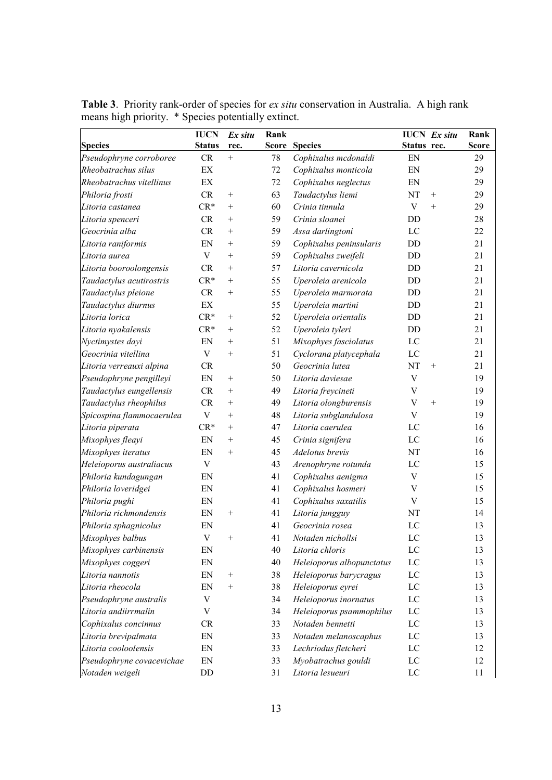|                           | <b>IUCN</b>                | Ex situ            | Rank  |                           |                           | <b>IUCN</b> Ex situ | Rank         |
|---------------------------|----------------------------|--------------------|-------|---------------------------|---------------------------|---------------------|--------------|
| <b>Species</b>            | <b>Status</b>              | rec.               | Score | <b>Species</b>            | Status rec.               |                     | <b>Score</b> |
| Pseudophryne corroboree   | ${\cal CR}$                | $^{+}$             | 78    | Cophixalus mcdonaldi      | EN                        |                     | 29           |
| Rheobatrachus silus       | $\mathop{\rm EX}\nolimits$ |                    | 72    | Cophixalus monticola      | EN                        |                     | 29           |
| Rheobatrachus vitellinus  | EX                         |                    | 72    | Cophixalus neglectus      | EN                        |                     | 29           |
| Philoria frosti           | CR                         | $^{+}$             | 63    | Taudactylus liemi         | NT                        | $^{+}$              | 29           |
| Litoria castanea          | $CR*$                      | $^{+}$             | 60    | Crinia tinnula            | $\mathbf V$               | $+$                 | 29           |
| Litoria spenceri          | CR                         | $^{+}$             | 59    | Crinia sloanei            | DD                        |                     | 28           |
| Geocrinia alba            | CR                         | $^{+}$             | 59    | Assa darlingtoni          | LC                        |                     | 22           |
| Litoria raniformis        | EN                         | $^{+}$             | 59    | Cophixalus peninsularis   | DD                        |                     | 21           |
| Litoria aurea             | $\mathbf V$                | $^{+}$             | 59    | Cophixalus zweifeli       | DD                        |                     | 21           |
| Litoria booroolongensis   | CR                         | $^{+}$             | 57    | Litoria cavernicola       | DD                        |                     | 21           |
| Taudactylus acutirostris  | $CR*$                      | $^{+}$             | 55    | Uperoleia arenicola       | DD                        |                     | 21           |
| Taudactylus pleione       | CR                         | $^{+}$             | 55    | Uperoleia marmorata       | DD                        |                     | 21           |
| Taudactylus diurnus       | $\mathop{\rm EX}\nolimits$ |                    | 55    | Uperoleia martini         | DD                        |                     | 21           |
| Litoria lorica            | $CR*$                      | $^{+}$             | 52    | Uperoleia orientalis      | DD                        |                     | 21           |
| Litoria nyakalensis       | $CR*$                      | $^{+}$             | 52    | Uperoleia tyleri          | DD                        |                     | 21           |
| Nyctimystes dayi          | EN                         | $^{+}$             | 51    | Mixophyes fasciolatus     | LC                        |                     | 21           |
| Geocrinia vitellina       | $\mathbf V$                | $+$                | 51    | Cyclorana platycephala    | $_{\rm LC}$               |                     | 21           |
| Litoria verreauxi alpina  | CR                         |                    | 50    | Geocrinia lutea           | NT                        | $+$                 | 21           |
| Pseudophryne pengilleyi   | EN                         | $^{+}$             | 50    | Litoria daviesae          | $\ensuremath{\mathsf{V}}$ |                     | 19           |
| Taudactylus eungellensis  | CR                         | $^{+}$             | 49    | Litoria freycineti        | $\mathbf V$               |                     | 19           |
| Taudactylus rheophilus    | CR                         | $^{+}$             | 49    | Litoria olongburensis     | $\mathbf V$               | $^{+}$              | 19           |
| Spicospina flammocaerulea | $\mathbf V$                | $+$                | 48    | Litoria subglandulosa     | V                         |                     | 19           |
| Litoria piperata          | $CR*$                      | $^{+}$             | 47    | Litoria caerulea          | LC                        |                     | 16           |
| Mixophyes fleayi          | EN                         | $^{+}$             | 45    | Crinia signifera          | LC                        |                     | 16           |
| Mixophyes iteratus        | EN                         | $^{+}$             | 45    | Adelotus brevis           | NT                        |                     | 16           |
| Heleioporus australiacus  | $\mathbf V$                |                    | 43    | Arenophryne rotunda       | LC                        |                     | 15           |
| Philoria kundagungan      | EN                         |                    | 41    | Cophixalus aenigma        | $\ensuremath{\mathsf{V}}$ |                     | 15           |
| Philoria loveridgei       | EN                         |                    | 41    | Cophixalus hosmeri        | $\ensuremath{\mathsf{V}}$ |                     | 15           |
| Philoria pughi            | EN                         |                    | 41    | Cophixalus saxatilis      | V                         |                     | 15           |
| Philoria richmondensis    | EN                         | $\hspace{0.1mm} +$ | 41    | Litoria jungguy           | NT                        |                     | 14           |
| Philoria sphagnicolus     | EN                         |                    | 41    | Geocrinia rosea           | LC                        |                     | 13           |
| Mixophyes balbus          | $\mathbf V$                | $^{+}$             | 41    | Notaden nichollsi         | LC                        |                     | 13           |
| Mixophyes carbinensis     | EN                         |                    | 40    | Litoria chloris           | LC                        |                     | 13           |
| Mixophyes coggeri         | EN                         |                    | 40    | Heleioporus albopunctatus | $_{\rm LC}$               |                     | 13           |
| Litoria nannotis          | EN                         | $^{+}$             | 38    | Heleioporus barycragus    | LC                        |                     | 13           |
| Litoria rheocola          | EN                         | $^{+}$             | 38    | Heleioporus eyrei         | $\rm LC$                  |                     | 13           |
| Pseudophryne australis    | V                          |                    | 34    | Heleioporus inornatus     | LC                        |                     | 13           |
| Litoria andiirrmalin      | V                          |                    | 34    | Heleioporus psammophilus  | LC                        |                     | 13           |
| Cophixalus concinnus      | CR                         |                    | 33    | Notaden bennetti          | LC                        |                     | 13           |
| Litoria brevipalmata      | EN                         |                    | 33    | Notaden melanoscaphus     | $\rm LC$                  |                     | 13           |
| Litoria cooloolensis      | EN                         |                    | 33    | Lechriodus fletcheri      | $\rm LC$                  |                     | 12           |
| Pseudophryne covacevichae | EN                         |                    | 33    | Myobatrachus gouldi       | LC                        |                     | 12           |
| Notaden weigeli           | DD                         |                    | 31    | Litoria lesueuri          | LC                        |                     | 11           |

**Table 3**. Priority rank-order of species for *ex situ* conservation in Australia. A high rank means high priority. \* Species potentially extinct.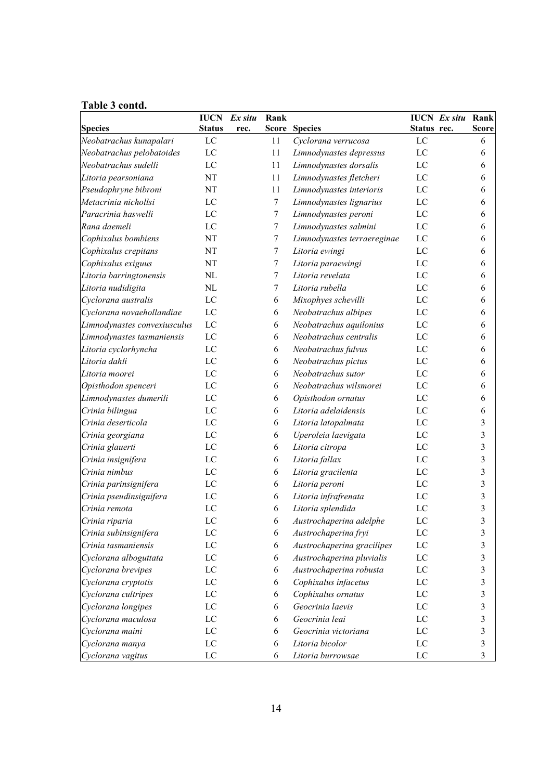# **Table 3 contd.**

|                              | <b>IUCN</b>    | Ex situ | Rank             |                             |             | <b>IUCN</b> Ex situ Rank |                         |
|------------------------------|----------------|---------|------------------|-----------------------------|-------------|--------------------------|-------------------------|
| <b>Species</b>               | <b>Status</b>  | rec.    |                  | <b>Score Species</b>        | Status rec. |                          | <b>Score</b>            |
| Neobatrachus kunapalari      | LC             |         | 11               | Cyclorana verrucosa         | $_{\rm LC}$ |                          | 6                       |
| Neobatrachus pelobatoides    | LC             |         | 11               | Limnodynastes depressus     | LC          |                          | 6                       |
| Neobatrachus sudelli         | LC             |         | 11               | Limnodynastes dorsalis      | LC          |                          | 6                       |
| Litoria pearsoniana          | NT             |         | 11               | Limnodynastes fletcheri     | LC          |                          | 6                       |
| Pseudophryne bibroni         | NT             |         | 11               | Limnodynastes interioris    | $_{\rm LC}$ |                          | 6                       |
| Metacrinia nichollsi         | LC             |         | $\overline{7}$   | Limnodynastes lignarius     | $_{\rm LC}$ |                          | 6                       |
| Paracrinia haswelli          | LC             |         | $\tau$           | Limnodynastes peroni        | LC          |                          | 6                       |
| Rana daemeli                 | LC             |         | $\tau$           | Limnodynastes salmini       | LC          |                          | 6                       |
| Cophixalus bombiens          | NT             |         | $\tau$           | Limnodynastes terraereginae | LC          |                          | 6                       |
| Cophixalus crepitans         | NT             |         | $\tau$           | Litoria ewingi              | LC          |                          | 6                       |
| Cophixalus exiguus           | NT             |         | 7                | Litoria paraewingi          | $_{\rm LC}$ |                          | 6                       |
| Litoria barringtonensis      | NL             |         | 7                | Litoria revelata            | LC          |                          | 6                       |
| Litoria nudidigita           | NL             |         | $\boldsymbol{7}$ | Litoria rubella             | LC          |                          | 6                       |
| Cyclorana australis          | LC             |         | 6                | Mixophyes schevilli         | LC          |                          | 6                       |
| Cyclorana novaehollandiae    | LC             |         | 6                | Neobatrachus albipes        | LC          |                          | 6                       |
| Limnodynastes convexiusculus | LC             |         | 6                | Neobatrachus aquilonius     | LC          |                          | 6                       |
| Limnodynastes tasmaniensis   | LC             |         | 6                | Neobatrachus centralis      | $_{\rm LC}$ |                          | 6                       |
| Litoria cyclorhyncha         | LC             |         | 6                | Neobatrachus fulvus         | $_{\rm LC}$ |                          | 6                       |
| Litoria dahli                | LC             |         | 6                | Neobatrachus pictus         | LC          |                          | 6                       |
| Litoria moorei               | LC             |         | 6                | Neobatrachus sutor          | LC          |                          | 6                       |
| Opisthodon spenceri          | LC             |         | 6                | Neobatrachus wilsmorei      | LC          |                          | 6                       |
| Limnodynastes dumerili       | LC             |         | 6                | Opisthodon ornatus          | LC          |                          | 6                       |
| Crinia bilingua              | LC             |         | 6                | Litoria adelaidensis        | $_{\rm LC}$ |                          | 6                       |
| Crinia deserticola           | LC             |         | 6                | Litoria latopalmata         | LC          |                          | 3                       |
| Crinia georgiana             | LC             |         | 6                | Uperoleia laevigata         | LC          |                          | $\overline{\mathbf{3}}$ |
| Crinia glauerti              | LC             |         | 6                | Litoria citropa             | LC          |                          | $\overline{\mathbf{3}}$ |
| Crinia insignifera           | LC             |         | 6                | Litoria fallax              | $_{\rm LC}$ |                          | 3                       |
| Crinia nimbus                | LC             |         | 6                | Litoria gracilenta          | $_{\rm LC}$ |                          | 3                       |
| Crinia parinsignifera        | LC             |         | 6                | Litoria peroni              | LC          |                          | 3                       |
| Crinia pseudinsignifera      | LC             |         | 6                | Litoria infrafrenata        | $_{\rm LC}$ |                          | 3                       |
| Crinia remota                | LC             |         | 6                | Litoria splendida           | LC          |                          | 3                       |
| Crinia riparia               | LC             |         | 6                | Austrochaperina adelphe     | LC          |                          | 3                       |
| Crinia subinsignifera        | LC             |         | 6                | Austrochaperina fryi        | LC          |                          | $\mathfrak{Z}$          |
| Crinia tasmaniensis          | $_{\rm LC}$    |         | 6                | Austrochaperina gracilipes  | $\rm LC$    |                          | 3                       |
| Cyclorana alboguttata        | $_{\rm LC}$    |         | 6                | Austrochaperina pluvialis   | $_{\rm LC}$ |                          | $\overline{\mathbf{3}}$ |
| Cyclorana brevipes           | $_{\text{LC}}$ |         | 6                | Austrochaperina robusta     | $\rm LC$    |                          | $\mathfrak{Z}$          |
| Cyclorana cryptotis          | $_{\rm LC}$    |         | 6                | Cophixalus infacetus        | $_{\rm LC}$ |                          | 3                       |
| Cyclorana cultripes          | $_{\rm LC}$    |         | 6                | Cophixalus ornatus          | $_{\rm LC}$ |                          | 3                       |
| Cyclorana longipes           | $_{\rm LC}$    |         | 6                | Geocrinia laevis            | LC          |                          | $\overline{\mathbf{3}}$ |
| Cyclorana maculosa           | $_{\rm LC}$    |         | 6                | Geocrinia leai              | LC          |                          | $\mathfrak{Z}$          |
| Cyclorana maini              | $_{\text{LC}}$ |         | 6                | Geocrinia victoriana        | $_{\rm LC}$ |                          | $\overline{\mathbf{3}}$ |
| Cyclorana manya              | $_{\rm LC}$    |         | 6                | Litoria bicolor             | $_{\rm LC}$ |                          | $\mathfrak{Z}$          |
| Cyclorana vagitus            | $_{\rm LC}$    |         | 6                | Litoria burrowsae           | $\rm LC$    |                          | $\mathfrak{Z}$          |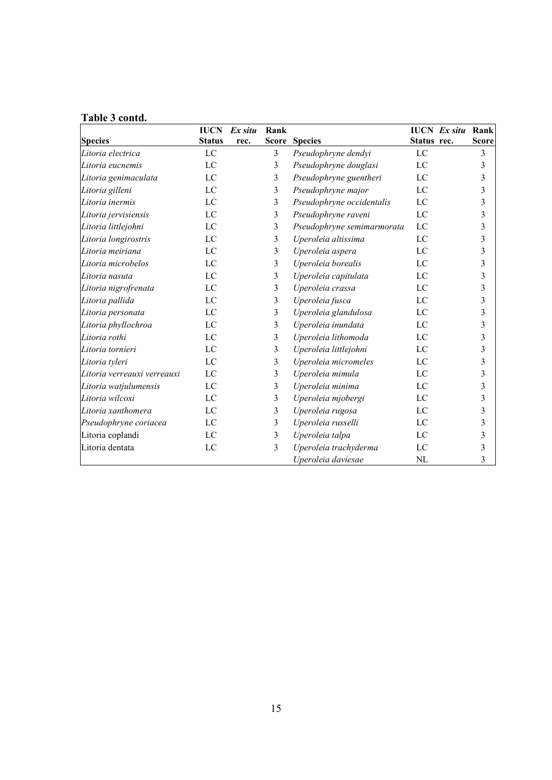# **Table 3 contd.**

|                             | <b>IUCN</b><br><b>Status</b> | Ex situ | Rank                    |                            | Status rec. | <b>IUCN</b> Ex situ | Rank                    |
|-----------------------------|------------------------------|---------|-------------------------|----------------------------|-------------|---------------------|-------------------------|
| <b>Species</b>              |                              | rec.    |                         | <b>Score Species</b>       |             |                     | <b>Score</b>            |
| Litoria electrica           | LC                           |         | 3                       | Pseudophryne dendyi        | LC          |                     | 3                       |
| Litoria eucnemis            | LC                           |         | 3                       | Pseudophryne douglasi      | LC          |                     | 3                       |
| Litoria genimaculata        | LC                           |         | 3                       | Pseudophryne guentheri     | LC          |                     | 3                       |
| Litoria gilleni             | LC                           |         | 3                       | Pseudophryne major         | LC          |                     | 3                       |
| Litoria inermis             | LC                           |         | 3                       | Pseudophryne occidentalis  | LC          |                     | 3                       |
| Litoria jervisiensis        | $_{\rm LC}$                  |         | $\overline{3}$          | Pseudophryne raveni        | $_{\rm LC}$ |                     | 3                       |
| Litoria littlejohni         | LC                           |         | $\overline{3}$          | Pseudophryne semimarmorata | LC          |                     | 3                       |
| Litoria longirostris        | LC                           |         | 3                       | Uperoleia altissima        | LC          |                     | 3                       |
| Litoria meiriana            | LC                           |         | $\overline{3}$          | Uperoleia aspera           | LC          |                     | 3                       |
| Litoria microbelos          | LC                           |         | 3                       | Uperoleia borealis         | LC          |                     | 3                       |
| Litoria nasuta              | LC                           |         | 3                       | Uperoleia capitulata       | LC          |                     | 3                       |
| Litoria nigrofrenata        | LC                           |         | 3                       | Uperoleia crassa           | LC          |                     | $\overline{\mathbf{3}}$ |
| Litoria pallida             | LC                           |         | 3                       | Uperoleia fusca            | LC          |                     | 3                       |
| Litoria personata           | LC                           |         | 3                       | Uperoleia glandulosa       | LC          |                     | 3                       |
| Litoria phyllochroa         | LC                           |         | 3                       | Uperoleia inundata         | LC          |                     | $\overline{\mathbf{3}}$ |
| Litoria rothi               | LC                           |         | $\overline{3}$          | Uperoleia lithomoda        | LC          |                     | 3                       |
| Litoria tornieri            | LC                           |         | 3                       | Uperoleia littlejohni      | LC          |                     | 3                       |
| Litoria tyleri              | LC                           |         | 3                       | Uperoleia micromeles       | LC          |                     | $\overline{\mathbf{3}}$ |
| Litoria verreauxi verreauxi | LC                           |         | 3                       | Uperoleia mimula           | LC          |                     | 3                       |
| Litoria watjulumensis       | $_{\rm LC}$                  |         | 3                       | Uperoleia minima           | LC          |                     | 3                       |
| Litoria wilcoxi             | LC                           |         | 3                       | Uperoleia mjobergi         | LC          |                     | 3                       |
| Litoria xanthomera          | LC                           |         | 3                       | Uperoleia rugosa           | LC          |                     | 3                       |
| Pseudophryne coriacea       | $_{\rm LC}$                  |         | 3                       | Uperoleia russelli         | LC          |                     | 3                       |
| Litoria coplandi            | LC                           |         | $\overline{3}$          | Uperoleia talpa            | LC          |                     | 3                       |
| Litoria dentata             | $_{\rm LC}$                  |         | $\overline{\mathbf{3}}$ | Uperoleia trachyderma      | LC          |                     | 3                       |
|                             |                              |         |                         | Uperoleia daviesae         | <b>NL</b>   |                     | 3                       |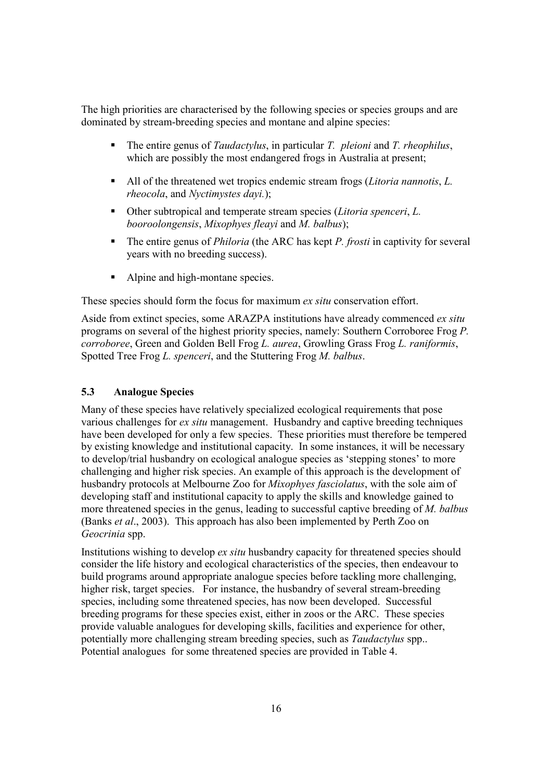The high priorities are characterised by the following species or species groups and are dominated by stream-breeding species and montane and alpine species:

- The entire genus of *Taudactylus*, in particular *T. pleioni* and *T. rheophilus*, which are possibly the most endangered frogs in Australia at present:
- All of the threatened wet tropics endemic stream frogs (*Litoria nannotis*, *L. rheocola*, and *Nyctimystes dayi.*);
- Other subtropical and temperate stream species (*Litoria spenceri*, *L. booroolongensis*, *Mixophyes fleayi* and *M. balbus*);
- The entire genus of *Philoria* (the ARC has kept *P. frosti* in captivity for several years with no breeding success).
- Alpine and high-montane species.

These species should form the focus for maximum *ex situ* conservation effort.

Aside from extinct species, some ARAZPA institutions have already commenced *ex situ* programs on several of the highest priority species, namely: Southern Corroboree Frog *P. corroboree*, Green and Golden Bell Frog *L. aurea*, Growling Grass Frog *L. raniformis*, Spotted Tree Frog *L. spenceri*, and the Stuttering Frog *M. balbus*.

#### **5.3 Analogue Species**

Many of these species have relatively specialized ecological requirements that pose various challenges for *ex situ* management. Husbandry and captive breeding techniques have been developed for only a few species. These priorities must therefore be tempered by existing knowledge and institutional capacity. In some instances, it will be necessary to develop/trial husbandry on ecological analogue species as 'stepping stones' to more challenging and higher risk species. An example of this approach is the development of husbandry protocols at Melbourne Zoo for *Mixophyes fasciolatus*, with the sole aim of developing staff and institutional capacity to apply the skills and knowledge gained to more threatened species in the genus, leading to successful captive breeding of *M. balbus* (Banks *et al*., 2003). This approach has also been implemented by Perth Zoo on *Geocrinia* spp.

Institutions wishing to develop *ex situ* husbandry capacity for threatened species should consider the life history and ecological characteristics of the species, then endeavour to build programs around appropriate analogue species before tackling more challenging, higher risk, target species. For instance, the husbandry of several stream-breeding species, including some threatened species, has now been developed. Successful breeding programs for these species exist, either in zoos or the ARC. These species provide valuable analogues for developing skills, facilities and experience for other, potentially more challenging stream breeding species, such as *Taudactylus* spp.. Potential analogues for some threatened species are provided in Table 4.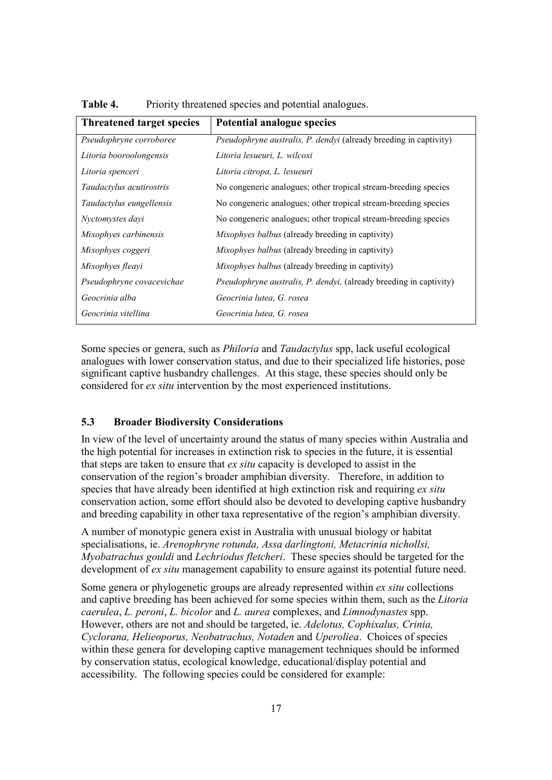| <b>Threatened target species</b> | Potential analogue species                                                |
|----------------------------------|---------------------------------------------------------------------------|
| Pseudophryne corroboree          | <i>Pseudophryne australis, P. dendyi</i> (already breeding in captivity)  |
| Litoria booroolongensis          | Litoria lesueuri, L. wilcoxi                                              |
| Litoria spenceri                 | Litoria citropa, L. lesueuri                                              |
| Taudactylus acutirostris         | No congeneric analogues; other tropical stream-breeding species           |
| Taudactylus eungellensis         | No congeneric analogues; other tropical stream-breeding species           |
| Nyctomystes dayi                 | No congeneric analogues; other tropical stream-breeding species           |
| Mixophyes carbinensis            | <i>Mixophyes balbus</i> (already breeding in captivity)                   |
| Mixophyes coggeri                | Mixophyes balbus (already breeding in captivity)                          |
| Mixophyes fleayi                 | <i>Mixophyes balbus</i> (already breeding in captivity)                   |
| Pseudophryne covacevichae        | <i>Pseudophryne australis, P. dendyi, (already breeding in captivity)</i> |
| Geocrinia alba                   | Geocrinia lutea, G. rosea                                                 |
| Geocrinia vitellina              | Geocrinia lutea, G. rosea                                                 |

**Table 4.** Priority threatened species and potential analogues.

Some species or genera, such as *Philoria* and *Taudactylus* spp, lack useful ecological analogues with lower conservation status, and due to their specialized life histories, pose significant captive husbandry challenges. At this stage, these species should only be considered for *ex situ* intervention by the most experienced institutions.

#### **5.3 Broader Biodiversity Considerations**

In view of the level of uncertainty around the status of many species within Australia and the high potential for increases in extinction risk to species in the future, it is essential that steps are taken to ensure that *ex situ* capacity is developed to assist in the conservation of the region's broader amphibian diversity. Therefore, in addition to species that have already been identified at high extinction risk and requiring *ex situ* conservation action, some effort should also be devoted to developing captive husbandry and breeding capability in other taxa representative of the region's amphibian diversity.

A number of monotypic genera exist in Australia with unusual biology or habitat specialisations, ie. *Arenophryne rotunda, Assa darlingtoni, Metacrinia nichollsi, Myobatrachus gouldi* and *Lechriodus fletcheri*. These species should be targeted for the development of *ex situ* management capability to ensure against its potential future need.

Some genera or phylogenetic groups are already represented within *ex situ* collections and captive breeding has been achieved for some species within them, such as the *Litoria caerulea*, *L. peroni*, *L. bicolor* and *L. aurea* complexes, and *Limnodynastes* spp. However, others are not and should be targeted, ie. *Adelotus, Cophixalus, Crinia, Cyclorana, Helieoporus, Neobatrachus, Notaden* and *Uperoliea*. Choices of species within these genera for developing captive management techniques should be informed by conservation status, ecological knowledge, educational/display potential and accessibility. The following species could be considered for example: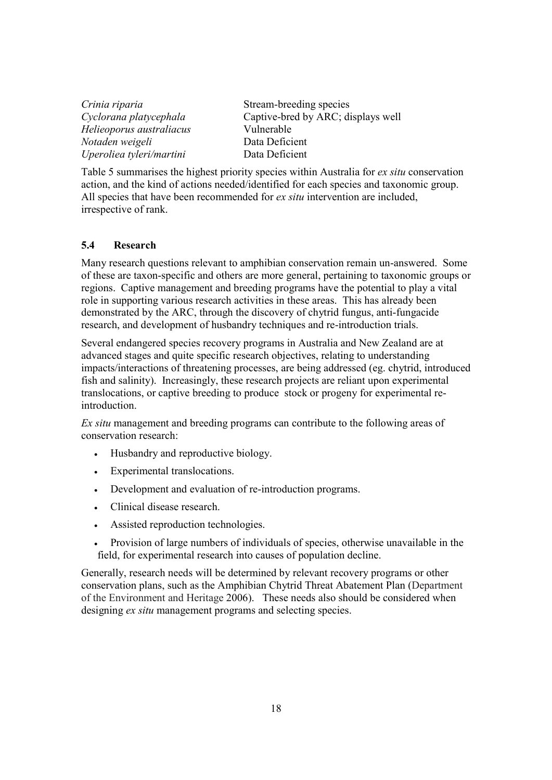$H$ elieoporus australiacus *Notaden weigeli* Data Deficient *Uperoliea tyleri/martini* Data Deficient

*Crinia riparia* Stream-breeding species<br>*Cyclorana platycephala* Captive-bred by ARC; di Captive-bred by ARC; displays well<br>Vulnerable

Table 5 summarises the highest priority species within Australia for *ex situ* conservation action, and the kind of actions needed/identified for each species and taxonomic group. All species that have been recommended for *ex situ* intervention are included, irrespective of rank.

# **5.4 Research**

Many research questions relevant to amphibian conservation remain un-answered. Some of these are taxon-specific and others are more general, pertaining to taxonomic groups or regions. Captive management and breeding programs have the potential to play a vital role in supporting various research activities in these areas. This has already been demonstrated by the ARC, through the discovery of chytrid fungus, anti-fungacide research, and development of husbandry techniques and re-introduction trials.

Several endangered species recovery programs in Australia and New Zealand are at advanced stages and quite specific research objectives, relating to understanding impacts/interactions of threatening processes, are being addressed (eg. chytrid, introduced fish and salinity). Increasingly, these research projects are reliant upon experimental translocations, or captive breeding to produce stock or progeny for experimental re**introduction** 

*Ex situ* management and breeding programs can contribute to the following areas of conservation research:

- Husbandry and reproductive biology.
- Experimental translocations.
- Development and evaluation of re-introduction programs.
- Clinical disease research.
- Assisted reproduction technologies.
- Provision of large numbers of individuals of species, otherwise unavailable in the field, for experimental research into causes of population decline.

Generally, research needs will be determined by relevant recovery programs or other conservation plans, such as the Amphibian Chytrid Threat Abatement Plan (Department of the Environment and Heritage 2006). These needs also should be considered when designing *ex situ* management programs and selecting species.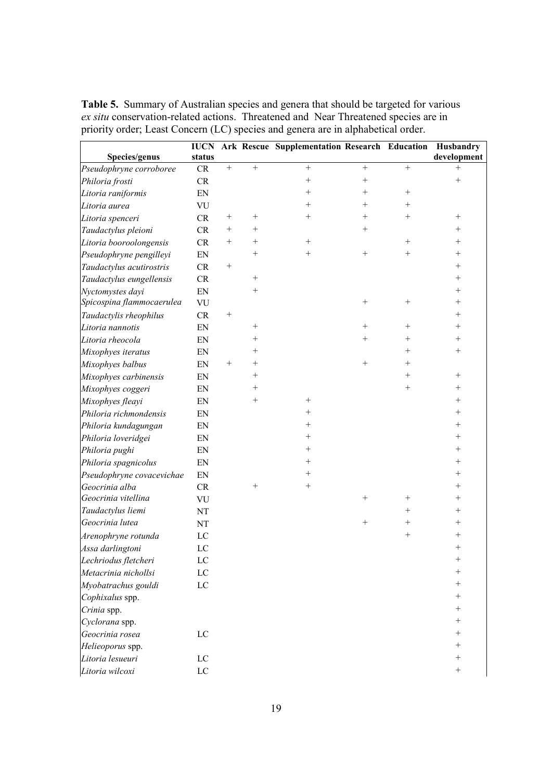**Table 5.** Summary of Australian species and genera that should be targeted for various *ex situ* conservation-related actions. Threatened and Near Threatened species are in priority order; Least Concern (LC) species and genera are in alphabetical order.

|                           | <b>IUCN</b> |                  |                    | Ark Rescue Supplementation Research Education Husbandry |                  |           |             |
|---------------------------|-------------|------------------|--------------------|---------------------------------------------------------|------------------|-----------|-------------|
| Species/genus             | status      |                  |                    |                                                         |                  |           | development |
| Pseudophryne corroboree   | CR          | $\boldsymbol{+}$ | $\boldsymbol{+}$   | $\boldsymbol{+}$                                        | $\boldsymbol{+}$ | $\! + \!$ | $+$         |
| Philoria frosti           | CR          |                  |                    | $^{+}$                                                  | $+$              |           | $^{+}$      |
| Litoria raniformis        | EN          |                  |                    | $^{+}$                                                  | $^{+}$           | $^{+}$    |             |
| Litoria aurea             | VU          |                  |                    | $^{+}$                                                  | $^{+}$           | $^{+}$    |             |
| Litoria spenceri          | CR          | $^{+}$           |                    | $^{+}$                                                  | $^+$             | $^{+}$    |             |
| Taudactylus pleioni       | CR          | $^{+}$           | $^{+}$             |                                                         | $^{+}$           |           | $^{+}$      |
| Litoria booroolongensis   | CR          | $^{+}$           | $^{+}$             | $^{+}$                                                  |                  | $^{+}$    | $^{+}$      |
| Pseudophryne pengilleyi   | EN          |                  | $\! + \!\!\!\!$    |                                                         | $^{+}$           | $^{+}$    | $^{+}$      |
| Taudactylus acutirostris  | ${\cal CR}$ |                  |                    |                                                         |                  |           | $^{+}$      |
| Taudactylus eungellensis  | CR          |                  |                    |                                                         |                  |           | $^{+}$      |
| Nyctomystes dayi          | ${\rm EN}$  |                  | $^{+}$             |                                                         |                  |           | $^{+}$      |
| Spicospina flammocaerulea | VU          |                  |                    |                                                         |                  | $^{+}$    | $^{+}$      |
| Taudactylis rheophilus    | ${\rm CR}$  | $^{+}$           |                    |                                                         |                  |           | $^{+}$      |
| Litoria nannotis          | EN          |                  |                    |                                                         | $^{+}$           | $^{+}$    | $^{+}$      |
| Litoria rheocola          | EN          |                  | $\hspace{0.1mm} +$ |                                                         | $^{+}$           | $^{+}$    | $^{+}$      |
| Mixophyes iteratus        | EN          |                  | $\hspace{0.1mm} +$ |                                                         |                  | $^{+}$    | $^{+}$      |
| Mixophyes balbus          | EN          | $^{+}$           | $^{+}$             |                                                         | $^{+}$           | $^{+}$    |             |
| Mixophyes carbinensis     | EN          |                  | $^{+}$             |                                                         |                  | $^{+}$    | $^{+}$      |
| Mixophyes coggeri         | EN          |                  | $\hspace{0.1mm} +$ |                                                         |                  | $^{+}$    | $^{+}$      |
| Mixophyes fleayi          | EN          |                  |                    |                                                         |                  |           | $^{+}$      |
| Philoria richmondensis    | EN          |                  |                    |                                                         |                  |           | $^{+}$      |
| Philoria kundagungan      | EN          |                  |                    | $^{+}$                                                  |                  |           | $^{+}$      |
| Philoria loveridgei       | EN          |                  |                    | $^{+}$                                                  |                  |           | $^{+}$      |
| Philoria pughi            | EN          |                  |                    | $^{+}$                                                  |                  |           | $^{+}$      |
| Philoria spagnicolus      | EN          |                  |                    | $^{+}$                                                  |                  |           | $^{+}$      |
| Pseudophryne covacevichae | EN          |                  |                    | $^{+}$                                                  |                  |           | $^{+}$      |
| Geocrinia alba            | CR          |                  | $^{+}$             | $^{+}$                                                  |                  |           | $^{+}$      |
| Geocrinia vitellina       | VU          |                  |                    |                                                         | $^{+}$           | $^{+}$    | $^{+}$      |
| Taudactylus liemi         | NT          |                  |                    |                                                         |                  | $^{+}$    | $^{+}$      |
| Geocrinia lutea           | NT          |                  |                    |                                                         | $\! +$           | $^{+}$    | $^{+}$      |
| Arenophryne rotunda       | $_{\rm LC}$ |                  |                    |                                                         |                  | $^{+}$    | $^{+}$      |
| Assa darlingtoni          | LC          |                  |                    |                                                         |                  |           | $^{+}$      |
| Lechriodus fletcheri      | LC          |                  |                    |                                                         |                  |           |             |
| Metacrinia nichollsi      | $_{\rm LC}$ |                  |                    |                                                         |                  |           | $^{+}$      |
| Myobatrachus gouldi       | ${\rm LC}$  |                  |                    |                                                         |                  |           | $^{+}$      |
| Cophixalus spp.           |             |                  |                    |                                                         |                  |           | $^{+}$      |
| Crinia spp.               |             |                  |                    |                                                         |                  |           | $^{+}$      |
| Cyclorana spp.            |             |                  |                    |                                                         |                  |           | $^{+}$      |
| Geocrinia rosea           | LC          |                  |                    |                                                         |                  |           | $^{+}$      |
| Helieoporus spp.          |             |                  |                    |                                                         |                  |           | $^{+}$      |
| Litoria lesueuri          | $\rm LC$    |                  |                    |                                                         |                  |           | $^{+}$      |
| Litoria wilcoxi           | $\rm LC$    |                  |                    |                                                         |                  |           | $^{+}$      |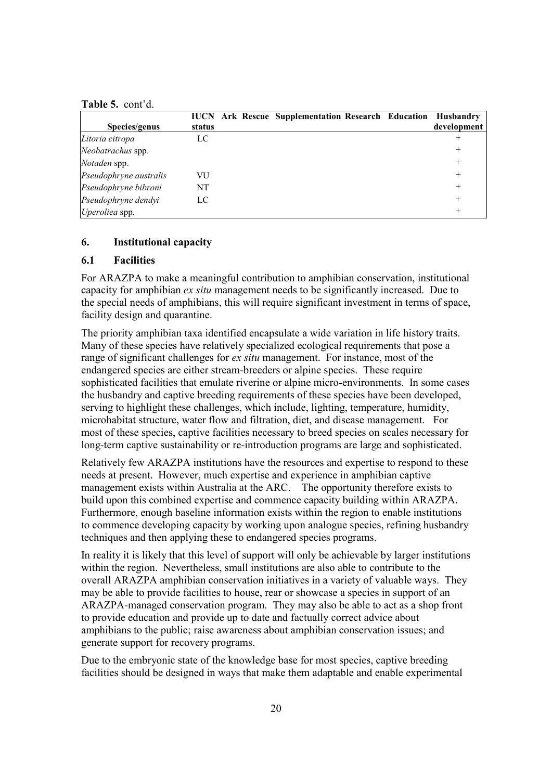#### **Table 5.** cont'd.

|                        |        |  | <b>IUCN</b> Ark Rescue Supplementation Research Education Husbandry |  |             |
|------------------------|--------|--|---------------------------------------------------------------------|--|-------------|
| Species/genus          | status |  |                                                                     |  | development |
| Litoria citropa        | LC     |  |                                                                     |  |             |
| Neobatrachus spp.      |        |  |                                                                     |  | $^{+}$      |
| Notaden spp.           |        |  |                                                                     |  | $+$         |
| Pseudophryne australis | VU     |  |                                                                     |  | $^{+}$      |
| Pseudophryne bibroni   | NT     |  |                                                                     |  | $+$         |
| Pseudophryne dendyi    | LC     |  |                                                                     |  | $+$         |
| Uperoliea spp.         |        |  |                                                                     |  |             |

#### **6. Institutional capacity**

# **6.1 Facilities**

For ARAZPA to make a meaningful contribution to amphibian conservation, institutional capacity for amphibian *ex situ* management needs to be significantly increased. Due to the special needs of amphibians, this will require significant investment in terms of space, facility design and quarantine.

The priority amphibian taxa identified encapsulate a wide variation in life history traits. Many of these species have relatively specialized ecological requirements that pose a range of significant challenges for *ex situ* management. For instance, most of the endangered species are either stream-breeders or alpine species. These require sophisticated facilities that emulate riverine or alpine micro-environments. In some cases the husbandry and captive breeding requirements of these species have been developed, serving to highlight these challenges, which include, lighting, temperature, humidity, microhabitat structure, water flow and filtration, diet, and disease management. For most of these species, captive facilities necessary to breed species on scales necessary for long-term captive sustainability or re-introduction programs are large and sophisticated.

Relatively few ARAZPA institutions have the resources and expertise to respond to these needs at present. However, much expertise and experience in amphibian captive management exists within Australia at the ARC. The opportunity therefore exists to build upon this combined expertise and commence capacity building within ARAZPA. Furthermore, enough baseline information exists within the region to enable institutions to commence developing capacity by working upon analogue species, refining husbandry techniques and then applying these to endangered species programs.

In reality it is likely that this level of support will only be achievable by larger institutions within the region. Nevertheless, small institutions are also able to contribute to the overall ARAZPA amphibian conservation initiatives in a variety of valuable ways. They may be able to provide facilities to house, rear or showcase a species in support of an ARAZPA-managed conservation program. They may also be able to act as a shop front to provide education and provide up to date and factually correct advice about amphibians to the public; raise awareness about amphibian conservation issues; and generate support for recovery programs.

Due to the embryonic state of the knowledge base for most species, captive breeding facilities should be designed in ways that make them adaptable and enable experimental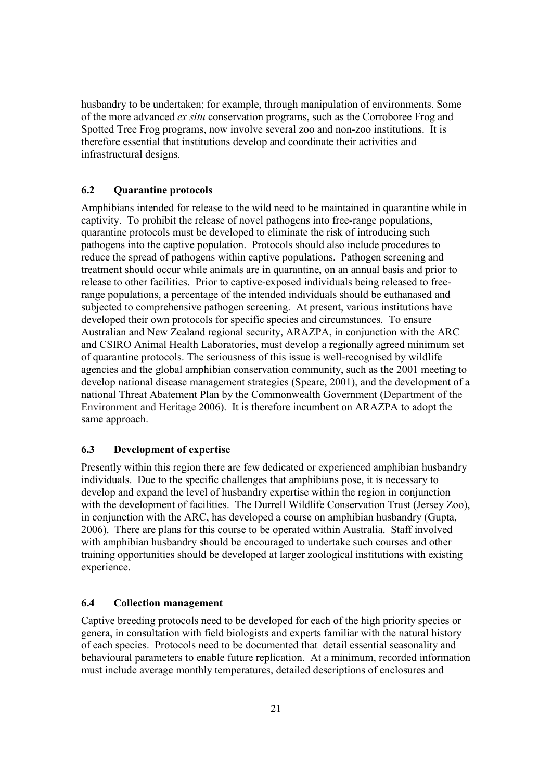husbandry to be undertaken; for example, through manipulation of environments. Some of the more advanced *ex situ* conservation programs, such as the Corroboree Frog and Spotted Tree Frog programs, now involve several zoo and non-zoo institutions. It is therefore essential that institutions develop and coordinate their activities and infrastructural designs.

# **6.2 Quarantine protocols**

Amphibians intended for release to the wild need to be maintained in quarantine while in captivity. To prohibit the release of novel pathogens into free-range populations, quarantine protocols must be developed to eliminate the risk of introducing such pathogens into the captive population. Protocols should also include procedures to reduce the spread of pathogens within captive populations. Pathogen screening and treatment should occur while animals are in quarantine, on an annual basis and prior to release to other facilities. Prior to captive-exposed individuals being released to freerange populations, a percentage of the intended individuals should be euthanased and subjected to comprehensive pathogen screening. At present, various institutions have developed their own protocols for specific species and circumstances. To ensure Australian and New Zealand regional security, ARAZPA, in conjunction with the ARC and CSIRO Animal Health Laboratories, must develop a regionally agreed minimum set of quarantine protocols. The seriousness of this issue is well-recognised by wildlife agencies and the global amphibian conservation community, such as the 2001 meeting to develop national disease management strategies (Speare, 2001), and the development of a national Threat Abatement Plan by the Commonwealth Government (Department of the Environment and Heritage 2006). It is therefore incumbent on ARAZPA to adopt the same approach.

#### **6.3 Development of expertise**

Presently within this region there are few dedicated or experienced amphibian husbandry individuals. Due to the specific challenges that amphibians pose, it is necessary to develop and expand the level of husbandry expertise within the region in conjunction with the development of facilities. The Durrell Wildlife Conservation Trust (Jersey Zoo), in conjunction with the ARC, has developed a course on amphibian husbandry (Gupta, 2006). There are plans for this course to be operated within Australia. Staff involved with amphibian husbandry should be encouraged to undertake such courses and other training opportunities should be developed at larger zoological institutions with existing experience.

#### **6.4 Collection management**

Captive breeding protocols need to be developed for each of the high priority species or genera, in consultation with field biologists and experts familiar with the natural history of each species. Protocols need to be documented that detail essential seasonality and behavioural parameters to enable future replication. At a minimum, recorded information must include average monthly temperatures, detailed descriptions of enclosures and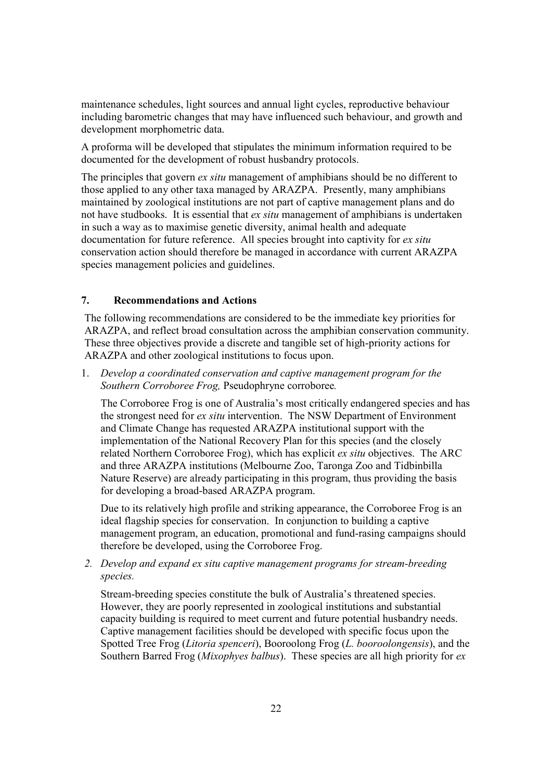maintenance schedules, light sources and annual light cycles, reproductive behaviour including barometric changes that may have influenced such behaviour, and growth and development morphometric data.

A proforma will be developed that stipulates the minimum information required to be documented for the development of robust husbandry protocols.

The principles that govern *ex situ* management of amphibians should be no different to those applied to any other taxa managed by ARAZPA. Presently, many amphibians maintained by zoological institutions are not part of captive management plans and do not have studbooks. It is essential that *ex situ* management of amphibians is undertaken in such a way as to maximise genetic diversity, animal health and adequate documentation for future reference. All species brought into captivity for *ex situ* conservation action should therefore be managed in accordance with current ARAZPA species management policies and guidelines.

# **7. Recommendations and Actions**

The following recommendations are considered to be the immediate key priorities for ARAZPA, and reflect broad consultation across the amphibian conservation community. These three objectives provide a discrete and tangible set of high-priority actions for ARAZPA and other zoological institutions to focus upon.

1. *Develop a coordinated conservation and captive management program for the Southern Corroboree Frog,* Pseudophryne corroboree*.*

The Corroboree Frog is one of Australia's most critically endangered species and has the strongest need for *ex situ* intervention. The NSW Department of Environment and Climate Change has requested ARAZPA institutional support with the implementation of the National Recovery Plan for this species (and the closely related Northern Corroboree Frog), which has explicit *ex situ* objectives. The ARC and three ARAZPA institutions (Melbourne Zoo, Taronga Zoo and Tidbinbilla Nature Reserve) are already participating in this program, thus providing the basis for developing a broad-based ARAZPA program.

Due to its relatively high profile and striking appearance, the Corroboree Frog is an ideal flagship species for conservation. In conjunction to building a captive management program, an education, promotional and fund-rasing campaigns should therefore be developed, using the Corroboree Frog.

*2. Develop and expand ex situ captive management programs for stream-breeding species.* 

Stream-breeding species constitute the bulk of Australia's threatened species. However, they are poorly represented in zoological institutions and substantial capacity building is required to meet current and future potential husbandry needs. Captive management facilities should be developed with specific focus upon the Spotted Tree Frog (*Litoria spenceri*), Booroolong Frog (*L. booroolongensis*), and the Southern Barred Frog (*Mixophyes balbus*). These species are all high priority for *ex*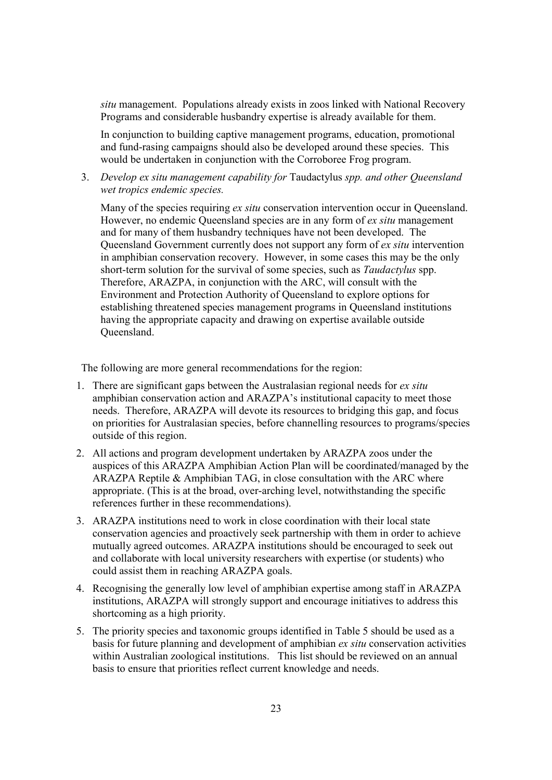*situ* management. Populations already exists in zoos linked with National Recovery Programs and considerable husbandry expertise is already available for them.

In conjunction to building captive management programs, education, promotional and fund-rasing campaigns should also be developed around these species. This would be undertaken in conjunction with the Corroboree Frog program.

3. *Develop ex situ management capability for* Taudactylus *spp. and other Queensland wet tropics endemic species.*

Many of the species requiring *ex situ* conservation intervention occur in Queensland. However, no endemic Queensland species are in any form of *ex situ* management and for many of them husbandry techniques have not been developed. The Queensland Government currently does not support any form of *ex situ* intervention in amphibian conservation recovery. However, in some cases this may be the only short-term solution for the survival of some species, such as *Taudactylus* spp. Therefore, ARAZPA, in conjunction with the ARC, will consult with the Environment and Protection Authority of Queensland to explore options for establishing threatened species management programs in Queensland institutions having the appropriate capacity and drawing on expertise available outside Queensland.

The following are more general recommendations for the region:

- 1. There are significant gaps between the Australasian regional needs for *ex situ* amphibian conservation action and ARAZPA's institutional capacity to meet those needs. Therefore, ARAZPA will devote its resources to bridging this gap, and focus on priorities for Australasian species, before channelling resources to programs/species outside of this region.
- 2. All actions and program development undertaken by ARAZPA zoos under the auspices of this ARAZPA Amphibian Action Plan will be coordinated/managed by the ARAZPA Reptile & Amphibian TAG, in close consultation with the ARC where appropriate. (This is at the broad, over-arching level, notwithstanding the specific references further in these recommendations).
- 3. ARAZPA institutions need to work in close coordination with their local state conservation agencies and proactively seek partnership with them in order to achieve mutually agreed outcomes. ARAZPA institutions should be encouraged to seek out and collaborate with local university researchers with expertise (or students) who could assist them in reaching ARAZPA goals.
- 4. Recognising the generally low level of amphibian expertise among staff in ARAZPA institutions, ARAZPA will strongly support and encourage initiatives to address this shortcoming as a high priority.
- 5. The priority species and taxonomic groups identified in Table 5 should be used as a basis for future planning and development of amphibian *ex situ* conservation activities within Australian zoological institutions. This list should be reviewed on an annual basis to ensure that priorities reflect current knowledge and needs.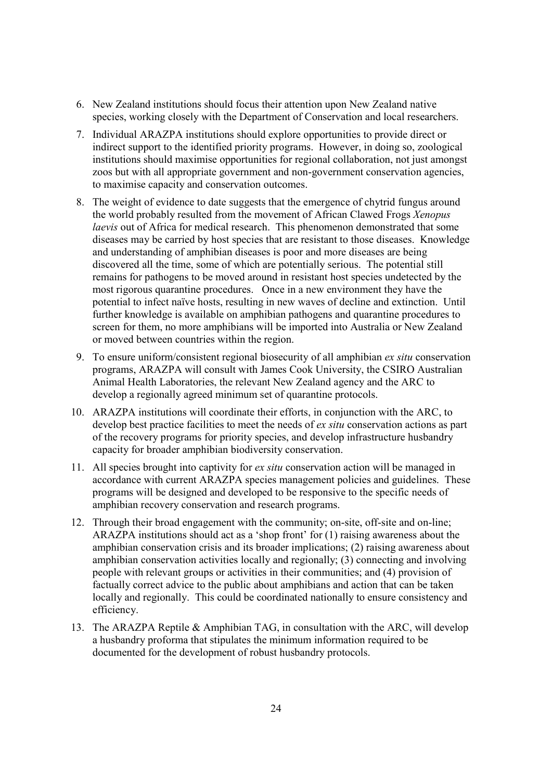- 6. New Zealand institutions should focus their attention upon New Zealand native species, working closely with the Department of Conservation and local researchers.
- 7. Individual ARAZPA institutions should explore opportunities to provide direct or indirect support to the identified priority programs. However, in doing so, zoological institutions should maximise opportunities for regional collaboration, not just amongst zoos but with all appropriate government and non-government conservation agencies, to maximise capacity and conservation outcomes.
- 8. The weight of evidence to date suggests that the emergence of chytrid fungus around the world probably resulted from the movement of African Clawed Frogs *Xenopus laevis* out of Africa for medical research. This phenomenon demonstrated that some diseases may be carried by host species that are resistant to those diseases. Knowledge and understanding of amphibian diseases is poor and more diseases are being discovered all the time, some of which are potentially serious. The potential still remains for pathogens to be moved around in resistant host species undetected by the most rigorous quarantine procedures. Once in a new environment they have the potential to infect naïve hosts, resulting in new waves of decline and extinction. Until further knowledge is available on amphibian pathogens and quarantine procedures to screen for them, no more amphibians will be imported into Australia or New Zealand or moved between countries within the region.
- 9. To ensure uniform/consistent regional biosecurity of all amphibian *ex situ* conservation programs, ARAZPA will consult with James Cook University, the CSIRO Australian Animal Health Laboratories, the relevant New Zealand agency and the ARC to develop a regionally agreed minimum set of quarantine protocols.
- 10. ARAZPA institutions will coordinate their efforts, in conjunction with the ARC, to develop best practice facilities to meet the needs of *ex situ* conservation actions as part of the recovery programs for priority species, and develop infrastructure husbandry capacity for broader amphibian biodiversity conservation.
- 11. All species brought into captivity for *ex situ* conservation action will be managed in accordance with current ARAZPA species management policies and guidelines. These programs will be designed and developed to be responsive to the specific needs of amphibian recovery conservation and research programs.
- 12. Through their broad engagement with the community; on-site, off-site and on-line; ARAZPA institutions should act as a 'shop front' for (1) raising awareness about the amphibian conservation crisis and its broader implications; (2) raising awareness about amphibian conservation activities locally and regionally; (3) connecting and involving people with relevant groups or activities in their communities; and (4) provision of factually correct advice to the public about amphibians and action that can be taken locally and regionally. This could be coordinated nationally to ensure consistency and efficiency.
- 13. The ARAZPA Reptile & Amphibian TAG, in consultation with the ARC, will develop a husbandry proforma that stipulates the minimum information required to be documented for the development of robust husbandry protocols.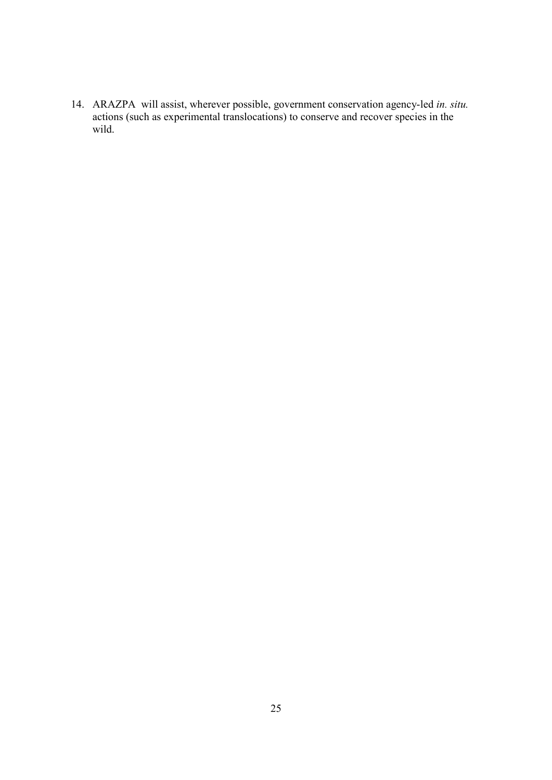14. ARAZPA will assist, wherever possible, government conservation agency-led *in. situ.*  actions (such as experimental translocations) to conserve and recover species in the wild.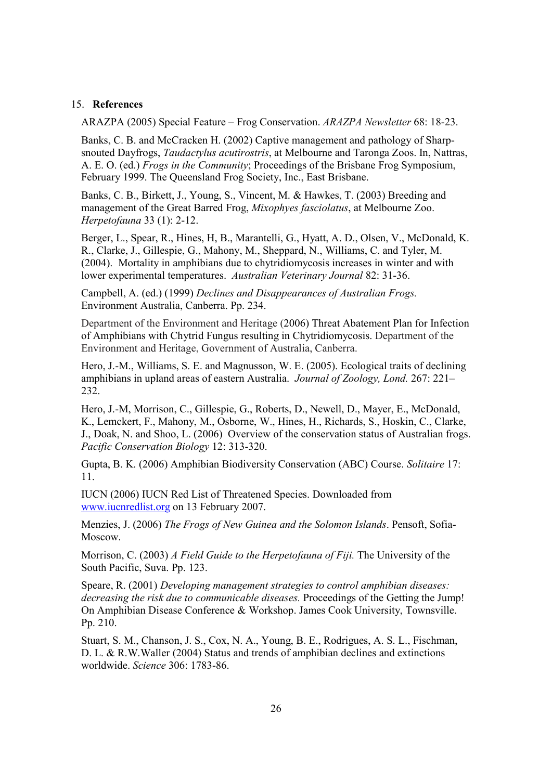#### 15. **References**

ARAZPA (2005) Special Feature – Frog Conservation. *ARAZPA Newsletter* 68: 18-23.

Banks, C. B. and McCracken H. (2002) Captive management and pathology of Sharpsnouted Dayfrogs, *Taudactylus acutirostris*, at Melbourne and Taronga Zoos. In, Nattras, A. E. O. (ed.) *Frogs in the Community*; Proceedings of the Brisbane Frog Symposium, February 1999. The Queensland Frog Society, Inc., East Brisbane.

Banks, C. B., Birkett, J., Young, S., Vincent, M. & Hawkes, T. (2003) Breeding and management of the Great Barred Frog, *Mixophyes fasciolatus*, at Melbourne Zoo. *Herpetofauna* 33 (1): 2-12.

Berger, L., Spear, R., Hines, H, B., Marantelli, G., Hyatt, A. D., Olsen, V., McDonald, K. R., Clarke, J., Gillespie, G., Mahony, M., Sheppard, N., Williams, C. and Tyler, M. (2004). Mortality in amphibians due to chytridiomycosis increases in winter and with lower experimental temperatures. *Australian Veterinary Journal* 82: 31-36.

Campbell, A. (ed.) (1999) *Declines and Disappearances of Australian Frogs.* Environment Australia, Canberra. Pp. 234.

Department of the Environment and Heritage (2006) Threat Abatement Plan for Infection of Amphibians with Chytrid Fungus resulting in Chytridiomycosis. Department of the Environment and Heritage, Government of Australia, Canberra.

Hero, J.-M., Williams, S. E. and Magnusson, W. E. (2005). Ecological traits of declining amphibians in upland areas of eastern Australia. *Journal of Zoology, Lond.* 267: 221– 232.

Hero, J.-M, Morrison, C., Gillespie, G., Roberts, D., Newell, D., Mayer, E., McDonald, K., Lemckert, F., Mahony, M., Osborne, W., Hines, H., Richards, S., Hoskin, C., Clarke, J., Doak, N. and Shoo, L. (2006) Overview of the conservation status of Australian frogs. *Pacific Conservation Biology* 12: 313-320.

Gupta, B. K. (2006) Amphibian Biodiversity Conservation (ABC) Course. *Solitaire* 17: 11.

IUCN (2006) IUCN Red List of Threatened Species. Downloaded from www.iucnredlist.org on 13 February 2007.

Menzies, J. (2006) *The Frogs of New Guinea and the Solomon Islands*. Pensoft, Sofia-Moscow.

Morrison, C. (2003) *A Field Guide to the Herpetofauna of Fiji.* The University of the South Pacific, Suva. Pp. 123.

Speare, R. (2001) *Developing management strategies to control amphibian diseases: decreasing the risk due to communicable diseases.* Proceedings of the Getting the Jump! On Amphibian Disease Conference & Workshop. James Cook University, Townsville. Pp. 210.

Stuart, S. M., Chanson, J. S., Cox, N. A., Young, B. E., Rodrigues, A. S. L., Fischman, D. L. & R.W.Waller (2004) Status and trends of amphibian declines and extinctions worldwide. *Science* 306: 1783-86.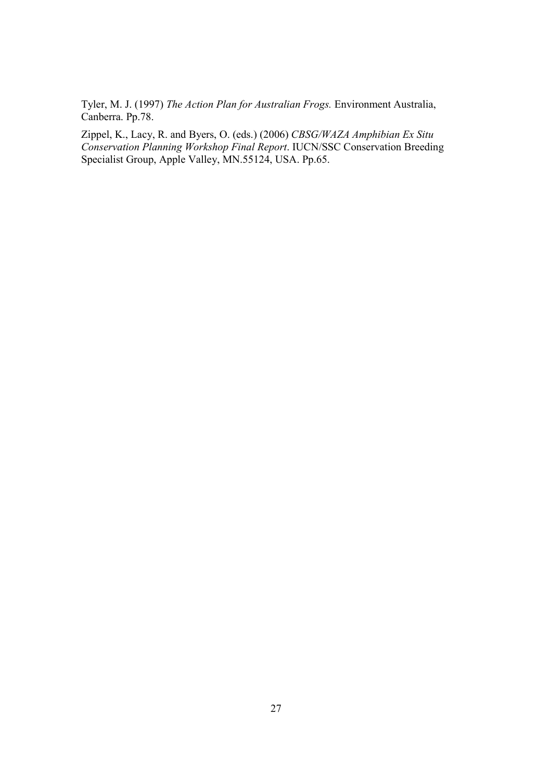Tyler, M. J. (1997) *The Action Plan for Australian Frogs.* Environment Australia, Canberra. Pp.78.

Zippel, K., Lacy, R. and Byers, O. (eds.) (2006) *CBSG/WAZA Amphibian Ex Situ Conservation Planning Workshop Final Report*. IUCN/SSC Conservation Breeding Specialist Group, Apple Valley, MN.55124, USA. Pp.65.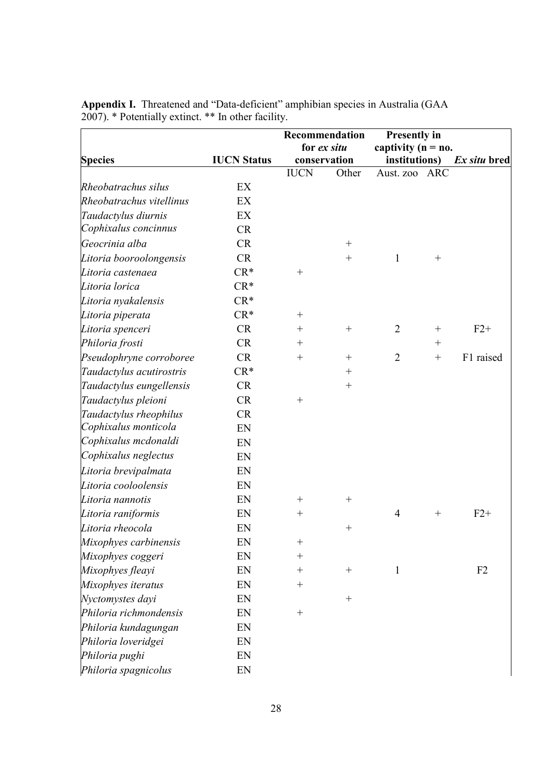|                          |                    |                    | Recommendation   | <b>Presently in</b>    |                   |              |
|--------------------------|--------------------|--------------------|------------------|------------------------|-------------------|--------------|
|                          |                    |                    | for ex situ      | captivity ( $n = no$ . |                   |              |
| <b>Species</b>           | <b>IUCN Status</b> |                    | conservation     | institutions)          |                   | Ex situ bred |
|                          |                    | <b>IUCN</b>        | Other            | Aust. zoo              | <b>ARC</b>        |              |
| Rheobatrachus silus      | EX                 |                    |                  |                        |                   |              |
| Rheobatrachus vitellinus | EX                 |                    |                  |                        |                   |              |
| Taudactylus diurnis      | EX                 |                    |                  |                        |                   |              |
| Cophixalus concinnus     | <b>CR</b>          |                    |                  |                        |                   |              |
| Geocrinia alba           | <b>CR</b>          |                    | $^{+}$           |                        |                   |              |
| Litoria booroolongensis  | <b>CR</b>          |                    | $^{+}$           | 1                      | $\boldsymbol{+}$  |              |
| Litoria castenaea        | $CR*$              | $^{+}$             |                  |                        |                   |              |
| Litoria lorica           | $CR*$              |                    |                  |                        |                   |              |
| Litoria nyakalensis      | $CR*$              |                    |                  |                        |                   |              |
| Litoria piperata         | $CR*$              | $\! +$             |                  |                        |                   |              |
| Litoria spenceri         | <b>CR</b>          | $\hspace{0.1mm} +$ | $^{+}$           | $\overline{2}$         | $^{+}$            | $F2+$        |
| Philoria frosti          | <b>CR</b>          | $\hspace{0.1mm} +$ |                  |                        | $^{+}$            |              |
| Pseudophryne corroboree  | <b>CR</b>          | $^{+}$             | $^{+}$           | $\overline{2}$         | $\qquad \qquad +$ | F1 raised    |
| Taudactylus acutirostris | $CR*$              |                    |                  |                        |                   |              |
| Taudactylus eungellensis | CR                 |                    | $^{+}$           |                        |                   |              |
| Taudactylus pleioni      | <b>CR</b>          | $^{+}$             |                  |                        |                   |              |
| Taudactylus rheophilus   | <b>CR</b>          |                    |                  |                        |                   |              |
| Cophixalus monticola     | EN                 |                    |                  |                        |                   |              |
| Cophixalus mcdonaldi     | EN                 |                    |                  |                        |                   |              |
| Cophixalus neglectus     | EN                 |                    |                  |                        |                   |              |
| Litoria brevipalmata     | EN                 |                    |                  |                        |                   |              |
| Litoria cooloolensis     | EN                 |                    |                  |                        |                   |              |
| Litoria nannotis         | EN                 | $\hspace{0.1mm} +$ | $^{+}$           |                        |                   |              |
| Litoria raniformis       | EN                 | $^{+}$             |                  | $\overline{4}$         | $\boldsymbol{+}$  | $F2+$        |
| Litoria rheocola         | EN                 |                    | $^{+}$           |                        |                   |              |
| Mixophyes carbinensis    | EN                 |                    |                  |                        |                   |              |
| Mixophyes coggeri        | EN                 | $\hspace{0.1mm} +$ |                  |                        |                   |              |
| Mixophyes fleayi         | EN                 | $\hspace{0.1mm} +$ | $\boldsymbol{+}$ | $\mathbf{1}$           |                   | F2           |
| Mixophyes iteratus       | EN                 | $\hspace{0.1mm} +$ |                  |                        |                   |              |
| Nyctomystes dayi         | EN                 |                    | $^{+}$           |                        |                   |              |
| Philoria richmondensis   | EN                 | $^{+}$             |                  |                        |                   |              |
| Philoria kundagungan     | EN                 |                    |                  |                        |                   |              |
| Philoria loveridgei      | EN                 |                    |                  |                        |                   |              |
| Philoria pughi           | EN                 |                    |                  |                        |                   |              |
| Philoria spagnicolus     | EN                 |                    |                  |                        |                   |              |

**Appendix I.** Threatened and "Data-deficient" amphibian species in Australia (GAA 2007). \* Potentially extinct. \*\* In other facility.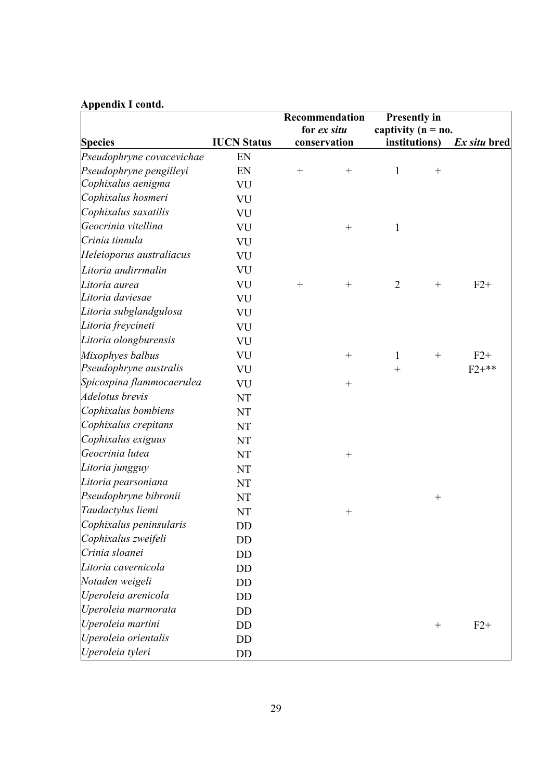# **Appendix I contd.**

|                           |                    | Recommendation   | <b>Presently in</b>    |                  |              |
|---------------------------|--------------------|------------------|------------------------|------------------|--------------|
|                           |                    | for ex situ      | captivity ( $n = no$ . |                  |              |
| <b>Species</b>            | <b>IUCN Status</b> | conservation     | institutions)          |                  | Ex situ bred |
| Pseudophryne covacevichae | EN                 |                  |                        |                  |              |
| Pseudophryne pengilleyi   | EN                 |                  | $\mathbf{1}$           | $\boldsymbol{+}$ |              |
| Cophixalus aenigma        | VU                 |                  |                        |                  |              |
| Cophixalus hosmeri        | VU                 |                  |                        |                  |              |
| Cophixalus saxatilis      | VU                 |                  |                        |                  |              |
| Geocrinia vitellina       | VU                 |                  | $\mathbf{1}$           |                  |              |
| Crinia tinnula            | VU                 |                  |                        |                  |              |
| Heleioporus australiacus  | VU                 |                  |                        |                  |              |
| Litoria andirrmalin       | VU                 |                  |                        |                  |              |
| Litoria aurea             | VU                 | $\boldsymbol{+}$ | $\overline{2}$         |                  | $F2+$        |
| Litoria daviesae          | VU                 |                  |                        |                  |              |
| Litoria subglandgulosa    | VU                 |                  |                        |                  |              |
| Litoria freycineti        | VU                 |                  |                        |                  |              |
| Litoria olongburensis     | VU                 |                  |                        |                  |              |
| Mixophyes balbus          | VU                 | $\boldsymbol{+}$ | $\mathbf{1}$           |                  | $F2+$        |
| Pseudophryne australis    | VU                 |                  | $^{+}$                 |                  | $F2+**$      |
| Spicospina flammocaerulea | VU                 |                  |                        |                  |              |
| <b>Adelotus</b> brevis    | NT                 |                  |                        |                  |              |
| Cophixalus bombiens       | NT                 |                  |                        |                  |              |
| Cophixalus crepitans      | NT                 |                  |                        |                  |              |
| Cophixalus exiguus        | NT                 |                  |                        |                  |              |
| Geocrinia lutea           | NT                 |                  |                        |                  |              |
| Litoria jungguy           | NT                 |                  |                        |                  |              |
| Litoria pearsoniana       | NT                 |                  |                        |                  |              |
| Pseudophryne bibronii     | NT                 |                  |                        | $^{+}$           |              |
| Taudactylus liemi         | NT                 |                  |                        |                  |              |
| Cophixalus peninsularis   | DD                 |                  |                        |                  |              |
| Cophixalus zweifeli       | DD                 |                  |                        |                  |              |
| Crinia sloanei            | DD                 |                  |                        |                  |              |
| Litoria cavernicola       | DD                 |                  |                        |                  |              |
| Notaden weigeli           | DD                 |                  |                        |                  |              |
| Uperoleia arenicola       | <b>DD</b>          |                  |                        |                  |              |
| Uperoleia marmorata       | DD                 |                  |                        |                  |              |
| Uperoleia martini         | DD                 |                  |                        | $^+$             | $F2+$        |
| Uperoleia orientalis      | DD                 |                  |                        |                  |              |
| Uperoleia tyleri          | DD                 |                  |                        |                  |              |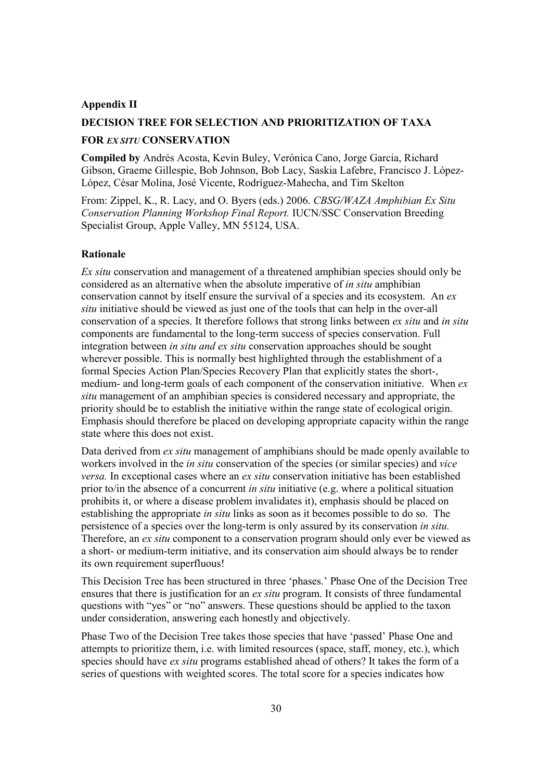#### **Appendix II**

# **DECISION TREE FOR SELECTION AND PRIORITIZATION OF TAXA**

#### **FOR** *EX SITU* **CONSERVATION**

**Compiled by** Andrés Acosta, Kevin Buley, Verónica Cano, Jorge Garcia, Richard Gibson, Graeme Gillespie, Bob Johnson, Bob Lacy, Saskia Lafebre, Francisco J. López-López, César Molina, José Vicente, Rodríguez-Mahecha, and Tim Skelton

From: Zippel, K., R. Lacy, and O. Byers (eds.) 2006. *CBSG/WAZA Amphibian Ex Situ Conservation Planning Workshop Final Report.* IUCN/SSC Conservation Breeding Specialist Group, Apple Valley, MN 55124, USA.

#### **Rationale**

*Ex situ* conservation and management of a threatened amphibian species should only be considered as an alternative when the absolute imperative of *in situ* amphibian conservation cannot by itself ensure the survival of a species and its ecosystem. An *ex situ* initiative should be viewed as just one of the tools that can help in the over-all conservation of a species. It therefore follows that strong links between *ex situ* and *in situ*  components are fundamental to the long-term success of species conservation. Full integration between *in situ and ex situ* conservation approaches should be sought wherever possible. This is normally best highlighted through the establishment of a formal Species Action Plan/Species Recovery Plan that explicitly states the short-, medium- and long-term goals of each component of the conservation initiative. When *ex situ* management of an amphibian species is considered necessary and appropriate, the priority should be to establish the initiative within the range state of ecological origin. Emphasis should therefore be placed on developing appropriate capacity within the range state where this does not exist.

Data derived from *ex situ* management of amphibians should be made openly available to workers involved in the *in situ* conservation of the species (or similar species) and *vice versa.* In exceptional cases where an *ex situ* conservation initiative has been established prior to/in the absence of a concurrent *in situ* initiative (e.g. where a political situation prohibits it, or where a disease problem invalidates it), emphasis should be placed on establishing the appropriate *in situ* links as soon as it becomes possible to do so. The persistence of a species over the long-term is only assured by its conservation *in situ.*  Therefore, an *ex situ* component to a conservation program should only ever be viewed as a short- or medium-term initiative, and its conservation aim should always be to render its own requirement superfluous!

This Decision Tree has been structured in three 'phases.' Phase One of the Decision Tree ensures that there is justification for an *ex situ* program. It consists of three fundamental questions with "yes" or "no" answers. These questions should be applied to the taxon under consideration, answering each honestly and objectively.

Phase Two of the Decision Tree takes those species that have 'passed' Phase One and attempts to prioritize them, i.e. with limited resources (space, staff, money, etc.), which species should have *ex situ* programs established ahead of others? It takes the form of a series of questions with weighted scores. The total score for a species indicates how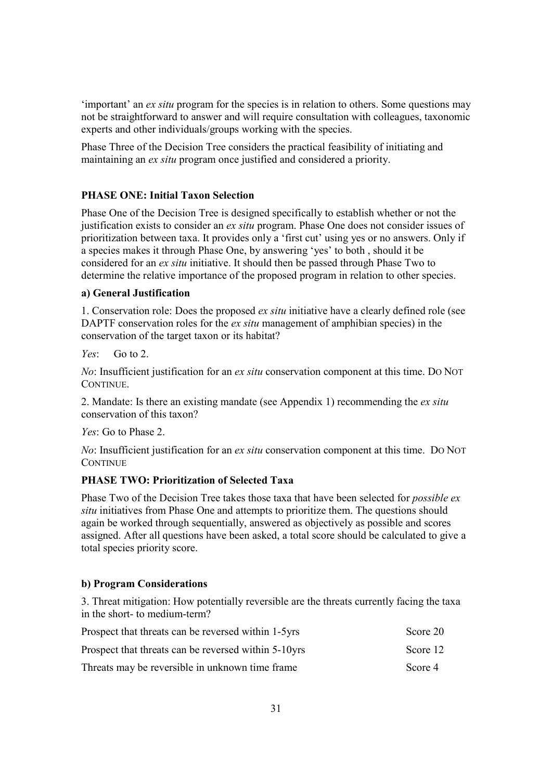'important' an *ex situ* program for the species is in relation to others. Some questions may not be straightforward to answer and will require consultation with colleagues, taxonomic experts and other individuals/groups working with the species.

Phase Three of the Decision Tree considers the practical feasibility of initiating and maintaining an *ex situ* program once justified and considered a priority.

# **PHASE ONE: Initial Taxon Selection**

Phase One of the Decision Tree is designed specifically to establish whether or not the justification exists to consider an *ex situ* program. Phase One does not consider issues of prioritization between taxa. It provides only a 'first cut' using yes or no answers. Only if a species makes it through Phase One, by answering 'yes' to both , should it be considered for an *ex situ* initiative. It should then be passed through Phase Two to determine the relative importance of the proposed program in relation to other species.

#### **a) General Justification**

1. Conservation role: Does the proposed *ex situ* initiative have a clearly defined role (see DAPTF conservation roles for the *ex situ* management of amphibian species) in the conservation of the target taxon or its habitat?

 $Y_{\rho}$   $\cdot$  Go to 2.

*No*: Insufficient justification for an *ex situ* conservation component at this time. DO NOT CONTINUE.

2. Mandate: Is there an existing mandate (see Appendix 1) recommending the *ex situ*  conservation of this taxon?

*Yes*: Go to Phase 2.

*No*: Insufficient justification for an *ex situ* conservation component at this time. DO NOT **CONTINUE** 

#### **PHASE TWO: Prioritization of Selected Taxa**

Phase Two of the Decision Tree takes those taxa that have been selected for *possible ex situ* initiatives from Phase One and attempts to prioritize them. The questions should again be worked through sequentially, answered as objectively as possible and scores assigned. After all questions have been asked, a total score should be calculated to give a total species priority score.

#### **b) Program Considerations**

3. Threat mitigation: How potentially reversible are the threats currently facing the taxa in the short- to medium-term?

| Prospect that threats can be reversed within 1-5yrs  | Score 20 |
|------------------------------------------------------|----------|
| Prospect that threats can be reversed within 5-10yrs | Score 12 |
| Threats may be reversible in unknown time frame      | Score 4  |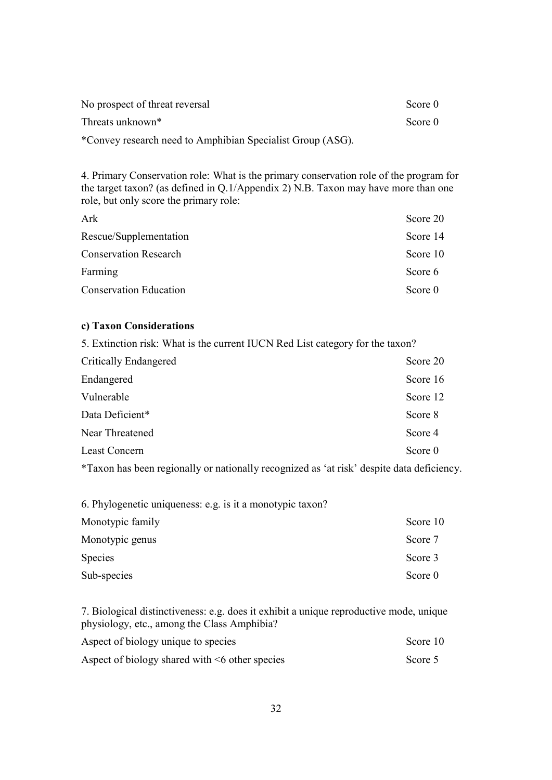| No prospect of threat reversal                             | Score 0 |
|------------------------------------------------------------|---------|
| Threats unknown <sup>*</sup>                               | Score 0 |
| *Convey research need to Amphibian Specialist Group (ASG). |         |

4. Primary Conservation role: What is the primary conservation role of the program for the target taxon? (as defined in Q.1/Appendix 2) N.B. Taxon may have more than one role, but only score the primary role:

| Ark                           | Score 20 |
|-------------------------------|----------|
| Rescue/Supplementation        | Score 14 |
| <b>Conservation Research</b>  | Score 10 |
| Farming                       | Score 6  |
| <b>Conservation Education</b> | Score 0  |

#### **c) Taxon Considerations**

5. Extinction risk: What is the current IUCN Red List category for the taxon?

| Score 20 |
|----------|
| Score 16 |
| Score 12 |
| Score 8  |
| Score 4  |
| Score 0  |
|          |

\*Taxon has been regionally or nationally recognized as 'at risk' despite data deficiency.

| 6. Phylogenetic uniqueness: e.g. is it a monotypic taxon? |          |
|-----------------------------------------------------------|----------|
| Monotypic family                                          | Score 10 |
| Monotypic genus                                           | Score 7  |
| <b>Species</b>                                            | Score 3  |
| Sub-species                                               | Score 0  |

7. Biological distinctiveness: e.g. does it exhibit a unique reproductive mode, unique physiology, etc., among the Class Amphibia?

| Aspect of biology unique to species                  | Score 10 |
|------------------------------------------------------|----------|
| Aspect of biology shared with $\leq 6$ other species | Score 5  |